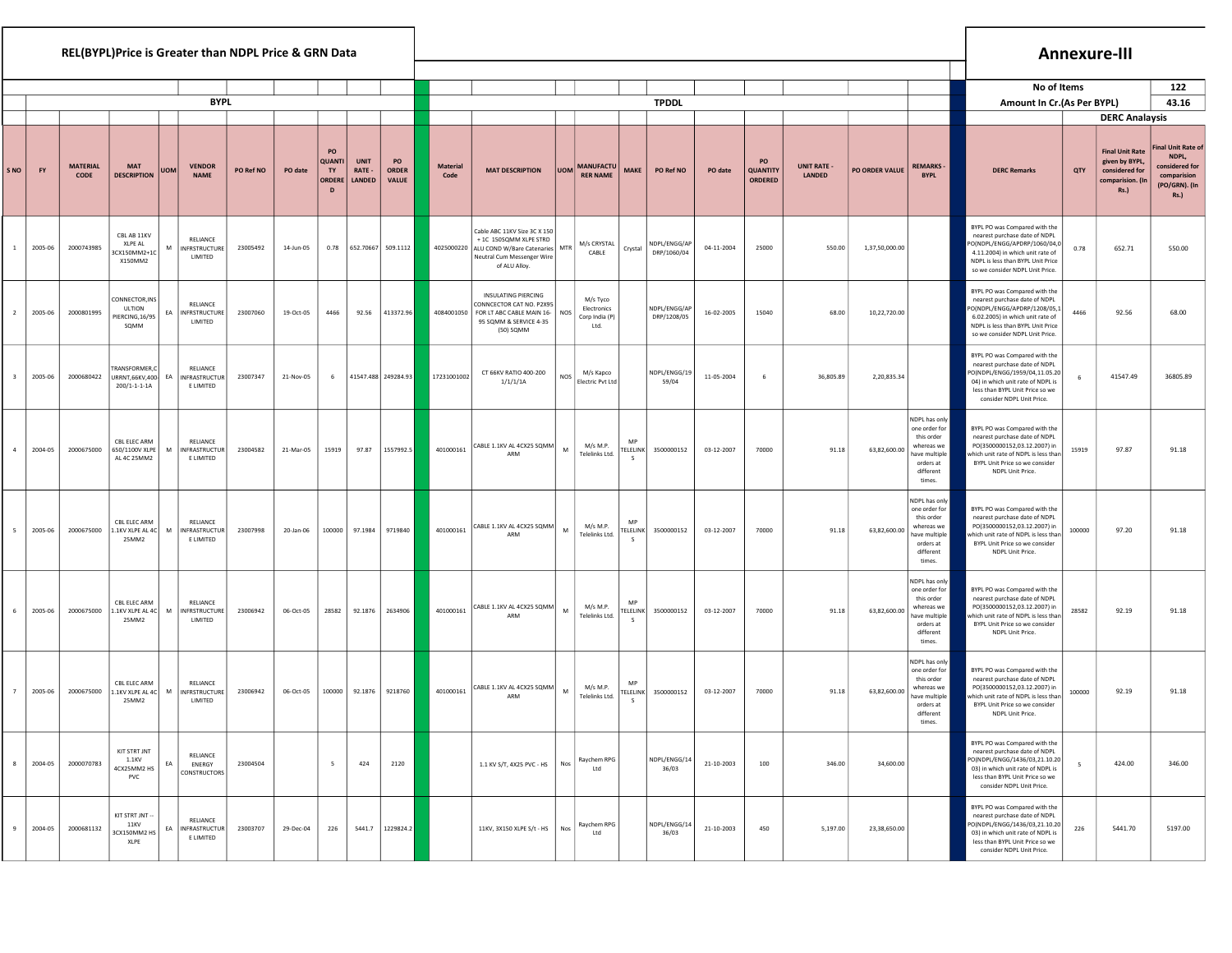| REL(BYPL)Price is Greater than NDPL Price & GRN Data |           |                         |                                                            |            |                                               |           |           |                                                     |                                 |                                    |                         |                                                                                                                                                    |            |                                                   |                                                   |                             |            |                                         |                              |                |                                                                                                                 |                                                                                                                                                                                                           |        | <b>Annexure-III</b>                                                                    |                                                                                                     |
|------------------------------------------------------|-----------|-------------------------|------------------------------------------------------------|------------|-----------------------------------------------|-----------|-----------|-----------------------------------------------------|---------------------------------|------------------------------------|-------------------------|----------------------------------------------------------------------------------------------------------------------------------------------------|------------|---------------------------------------------------|---------------------------------------------------|-----------------------------|------------|-----------------------------------------|------------------------------|----------------|-----------------------------------------------------------------------------------------------------------------|-----------------------------------------------------------------------------------------------------------------------------------------------------------------------------------------------------------|--------|----------------------------------------------------------------------------------------|-----------------------------------------------------------------------------------------------------|
|                                                      |           |                         |                                                            |            |                                               |           |           |                                                     |                                 |                                    |                         |                                                                                                                                                    |            |                                                   |                                                   |                             |            |                                         |                              |                |                                                                                                                 | No of Items                                                                                                                                                                                               |        |                                                                                        | 122                                                                                                 |
|                                                      |           |                         |                                                            |            | <b>BYPL</b>                                   |           |           |                                                     |                                 |                                    |                         |                                                                                                                                                    |            |                                                   |                                                   | <b>TPDDL</b>                |            |                                         |                              |                |                                                                                                                 | Amount In Cr. (As Per BYPL)                                                                                                                                                                               |        |                                                                                        | 43.16                                                                                               |
|                                                      |           |                         |                                                            |            |                                               |           |           |                                                     |                                 |                                    |                         |                                                                                                                                                    |            |                                                   |                                                   |                             |            |                                         |                              |                |                                                                                                                 |                                                                                                                                                                                                           |        | <b>DERC Analaysis</b>                                                                  |                                                                                                     |
| S NO                                                 | <b>FY</b> | <b>MATERIAL</b><br>CODE | <b>MAT</b><br><b>DESCRIPTION</b>                           | <b>UOM</b> | <b>VENDOR</b><br><b>NAME</b>                  | PO Ref NO | PO date   | PO<br><b>QUANTI</b><br>TY<br>ORDERI<br>$\mathbf{D}$ | <b>UNIT</b><br>RATE -<br>LANDED | PO<br><b>ORDER</b><br><b>VALUE</b> | <b>Material</b><br>Code | <b>MAT DESCRIPTION</b>                                                                                                                             | <b>UOM</b> | <b>MANUFACTU</b><br><b>RER NAME</b>               | <b>MAKE</b>                                       | PO Ref NO                   | PO date    | PO<br><b>QUANTITY</b><br><b>ORDERED</b> | <b>UNIT RATE -</b><br>LANDED | PO ORDER VALUE | <b>REMARKS</b><br><b>BYPL</b>                                                                                   | <b>DERC Remarks</b>                                                                                                                                                                                       | QTY    | <b>Final Unit Rate</b><br>given by BYPL,<br>considered for<br>comparision. (Iı<br>Rs.) | <b>Final Unit Rate of</b><br>NDPL,<br>considered for<br>comparision<br>(PO/GRN). (In<br><b>Rs.)</b> |
| $\mathbf{1}$                                         | 2005-06   | 2000743985              | CBL AB 11KV<br>XLPE AL<br>3CX150MM2+1C<br>X150MM2          | M          | RELIANCE<br><b>INFRSTRUCTURE</b><br>LIMITED   | 23005492  | 14-Jun-05 | 0.78                                                | 652.70667 509.1112              |                                    |                         | Cable ABC 11KV Size 3C X 150<br>+ 1C 150SQMM XLPE STRD<br>4025000220 ALU COND W/Bare Catenaries MTR<br>Neutral Cum Messenger Wire<br>of ALU Alloy. |            | M/s CRYSTAL<br>CABLE                              | Crystal                                           | NDPL/ENGG/AP<br>DRP/1060/04 | 04-11-2004 | 25000                                   | 550.00                       | 1,37,50,000.00 |                                                                                                                 | BYPL PO was Compared with the<br>nearest purchase date of NDPL<br>O(NDPL/ENGG/APDRP/1060/04,0<br>4.11.2004) in which unit rate of<br>NDPL is less than BYPL Unit Price<br>so we consider NDPL Unit Price. | 0.78   | 652.71                                                                                 | 550.00                                                                                              |
| $\overline{2}$                                       | 2005-06   | 2000801995              | CONNECTOR, INS<br><b>ULTION</b><br>PIERCING, 16/95<br>SOMM | EA         | RELIANCE<br><b>INFRSTRUCTURE</b><br>LIMITED   | 23007060  | 19-Oct-05 | 4466                                                | 92.56                           | 413372.96                          | 4084001050              | <b>INSULATING PIERCING</b><br>CONNCECTOR CAT NO. P2X95<br>FOR LT ABC CABLE MAIN 16-   NOS<br>95 SQMM & SERVICE 4-35<br>(50) SQMM                   |            | M/s Tyco<br>Electronics<br>Corp India (P)<br>Ltd. |                                                   | NDPL/ENGG/AP<br>DRP/1208/05 | 16-02-2005 | 15040                                   | 68.00                        | 10,22,720.00   |                                                                                                                 | BYPL PO was Compared with the<br>nearest purchase date of NDPL<br>O(NDPL/ENGG/APDRP/1208/05,1<br>6.02.2005) in which unit rate of<br>NDPL is less than BYPL Unit Price<br>so we consider NDPL Unit Price. | 4466   | 92.56                                                                                  | 68.00                                                                                               |
| $\overline{\mathbf{3}}$                              | 2005-06   | 2000680422              | TRANSFORMER,C<br>URRNT, 66KV, 400-<br>200/1-1-1-1A         | EA         | RELIANCE<br><b>INFRASTRUCTUR</b><br>E LIMITED | 23007347  | 21-Nov-05 | 6                                                   | 41547.488 249284.93             |                                    | 17231001002             | CT 66KV RATIO 400-200<br>1/1/1/1A                                                                                                                  | NOS        | M/s Kapco<br>Electric Pvt Ltd                     |                                                   | NDPL/ENGG/19<br>59/04       | 11-05-2004 | 6                                       | 36,805.89                    | 2,20,835.34    |                                                                                                                 | BYPL PO was Compared with the<br>nearest purchase date of NDPL<br>PO(NDPL/ENGG/1959/04,11.05.20<br>04) in which unit rate of NDPL is<br>less than BYPL Unit Price so we<br>consider NDPL Unit Price.      | -6     | 41547.49                                                                               | 36805.89                                                                                            |
| $\overline{4}$                                       | 2004-05   | 2000675000              | CBL ELEC ARM<br>650/1100V XLPE<br>AL 4C 25MM2              | M          | RELIANCE<br>INFRASTRUCTUR<br>E LIMITED        | 23004582  | 21-Mar-05 | 15919                                               | 97.87                           | 1557992.5                          | 401000161               | CABLE 1.1KV AL 4CX25 SQMM<br>ARM                                                                                                                   | M          | M/s M.P.<br>Telelinks Ltd.                        | <b>TELELINK</b>                                   | 3500000152                  | 03-12-2007 | 70000                                   | 91.18                        | 63,82,600.00   | NDPL has only<br>one order for<br>this order<br>whereas we<br>have multiple<br>orders at<br>different<br>times. | BYPL PO was Compared with the<br>nearest purchase date of NDPL<br>PO(3500000152,03.12.2007) in<br>which unit rate of NDPL is less than<br>BYPL Unit Price so we consider<br>NDPL Unit Price.              | 15919  | 97.87                                                                                  | 91.18                                                                                               |
| 5                                                    | 2005-06   | 2000675000              | CBL ELEC ARM<br>1.1KV XLPE AL 4C<br>25MM2                  | M          | RELIANCE<br>INFRASTRUCTUR<br>E LIMITED        | 23007998  | 20-Jan-06 | 100000                                              | 97.1984                         | 9719840                            | 401000161               | CABLE 1.1KV AL 4CX25 SQMM<br>ARM                                                                                                                   | M          | M/s M.P.<br>Telelinks Ltd.                        | MP<br><b>TELELINK</b>                             | 3500000152                  | 03-12-2007 | 70000                                   | 91.18                        | 63,82,600.00   | NDPL has only<br>one order for<br>this order<br>whereas we<br>have multiple<br>orders at<br>different<br>times. | BYPL PO was Compared with the<br>nearest purchase date of NDPL<br>PO(3500000152,03.12.2007) in<br>which unit rate of NDPL is less than<br>BYPL Unit Price so we consider<br>NDPL Unit Price.              | 100000 | 97.20                                                                                  | 91.18                                                                                               |
| 6                                                    | 2005-06   | 2000675000              | CBL ELEC ARM<br>1.1KV XLPE AL 4C<br>25MM2                  | M          | RELIANCE<br><b>INFRSTRUCTURE</b><br>LIMITED   | 23006942  | 06-Oct-05 | 28582                                               | 92.1876                         | 2634906                            | 401000161               | CABLE 1.1KV AL 4CX25 SQMM<br>ARM                                                                                                                   | M          | M/s M.P.<br>Telelinks Ltd.                        | MF<br><b>TELELINK</b><br>$\overline{\phantom{a}}$ | 3500000152                  | 03-12-2007 | 70000                                   | 91.18                        | 63,82,600.00   | NDPL has only<br>one order for<br>this order<br>whereas we<br>have multiple<br>orders at<br>different<br>times. | BYPL PO was Compared with the<br>nearest purchase date of NDPL<br>PO(3500000152,03.12.2007) in<br>hich unit rate of NDPL is less than<br>BYPL Unit Price so we consider<br>NDPL Unit Price.               | 28582  | 92.19                                                                                  | 91.18                                                                                               |
| 7                                                    | 2005-06   | 2000675000              | CBL ELEC ARM<br>1.1KV XLPE AL 4C<br>25MM2                  | M          | RELIANCE<br><b>INFRSTRUCTURE</b><br>LIMITED   | 23006942  | 06-Oct-05 | 100000                                              | 92.1876                         | 9218760                            | 401000161               | CABLE 1.1KV AL 4CX25 SQMM<br>ARM                                                                                                                   | M          | M/s M.P.<br>Telelinks Ltd.                        | MP                                                | TELELINK 3500000152         | 03-12-2007 | 70000                                   | 91.18                        | 63,82,600.00   | NDPL has only<br>one order for<br>this order<br>whereas we<br>have multiple<br>orders at<br>different<br>times. | BYPL PO was Compared with the<br>nearest purchase date of NDPL<br>PO(3500000152,03.12.2007) in<br>which unit rate of NDPL is less than<br>BYPL Unit Price so we consider<br>NDPL Unit Price.              | 100000 | 92.19                                                                                  | 91.18                                                                                               |
| 8                                                    | 2004-05   | 2000070783              | KIT STRT JNT<br>1.1KV<br>4CX25MM2 HS<br>PVC                | EA         | RELIANCE<br>ENERGY<br>CONSTRUCTORS            | 23004504  |           | 5                                                   | 424                             | 2120                               |                         | 1.1 KV S/T, 4X25 PVC - HS                                                                                                                          | Nos        | Raychem RPG<br>Ltd                                |                                                   | NDPL/ENGG/14<br>36/03       | 21-10-2003 | 100                                     | 346.00                       | 34,600.00      |                                                                                                                 | BYPL PO was Compared with the<br>nearest purchase date of NDPL<br>0(NDPL/ENGG/1436/03,21.10.20<br>03) in which unit rate of NDPL is<br>less than BYPL Unit Price so we<br>consider NDPL Unit Price.       |        | 424.00                                                                                 | 346.00                                                                                              |
| 9                                                    | 2004-05   | 2000681132              | KIT STRT JNT --<br><b>11KV</b><br>3CX150MM2 HS<br>XLPE     | EA         | RELIANCE<br><b>INFRASTRUCTUR</b><br>E LIMITED | 23003707  | 29-Dec-04 | 226                                                 | 5441.7                          | 1229824.2                          |                         | 11KV, 3X150 XLPE S/t - HS Nos                                                                                                                      |            | Raychem RPG<br>Ltd                                |                                                   | NDPL/ENGG/14<br>36/03       | 21-10-2003 | 450                                     | 5,197.00                     | 23,38,650.00   |                                                                                                                 | BYPL PO was Compared with the<br>nearest purchase date of NDPL<br>PO(NDPL/ENGG/1436/03,21.10.20<br>03) in which unit rate of NDPL is<br>less than BYPL Unit Price so we<br>consider NDPL Unit Price.      | 226    | 5441.70                                                                                | 5197.00                                                                                             |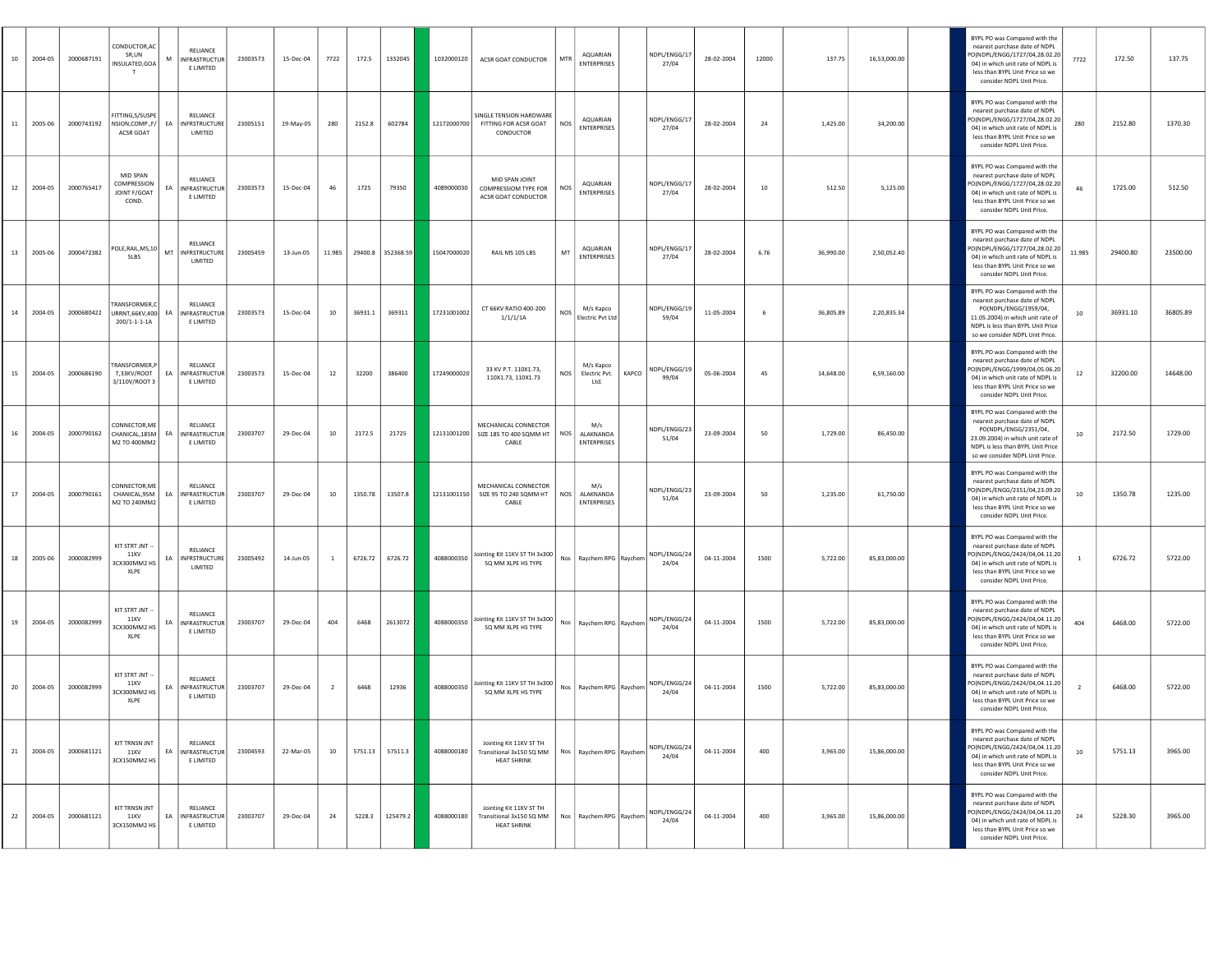| 10 | 2004-05 | 2000687191 | CONDUCTOR, AC<br>SR,UN<br>INSULATED,GOA<br>T          | RELIANCE<br>M<br>INFRASTRUCTUR<br>E LIMITED              | 23003573 | 15-Dec-04 | 7722           | 172.5   | 1332045           | 1032000120  | ACSR GOAT CONDUCTOR                                                       | MTR        | AQUARIAN<br><b>ENTERPRISES</b>         |       | NDPL/ENGG/17<br>27/04 | 28-02-2004 | 12000 | 137.75    | 16,53,000.00 | BYPL PO was Compared with the<br>nearest purchase date of NDPL<br>PO(NDPL/ENGG/1727/04,28.02.20<br>04) in which unit rate of NDPL is<br>less than BYPL Unit Price so we<br>consider NDPL Unit Price. | 7722   | 172.50   | 137.75   |
|----|---------|------------|-------------------------------------------------------|----------------------------------------------------------|----------|-----------|----------------|---------|-------------------|-------------|---------------------------------------------------------------------------|------------|----------------------------------------|-------|-----------------------|------------|-------|-----------|--------------|------------------------------------------------------------------------------------------------------------------------------------------------------------------------------------------------------|--------|----------|----------|
| 11 | 2005-06 | 2000743192 | FITTING, S/SUSPE<br>NSION.COMPF/<br>ACSR GOAT         | RELIANCE<br><b>INFRSTRUCTURE</b><br>EA<br>LIMITED        | 23005151 | 19-May-05 | 280            | 2152.8  | 602784            |             | SINGLE TENSION HARDWARE<br>12172000700 FITTING FOR ACSR GOAT<br>CONDUCTOR | <b>NOS</b> | <b>AQUARIAN</b><br><b>ENTERPRISES</b>  |       | NDPL/ENGG/17<br>27/04 | 28-02-2004 | 24    | 1,425.00  | 34,200.00    | BYPL PO was Compared with the<br>nearest purchase date of NDPL<br>O(NDPL/ENGG/1727/04,28.02.20<br>04) in which unit rate of NDPL is<br>less than BYPL Unit Price so we<br>consider NDPL Unit Price.  | 280    | 2152.80  | 1370.30  |
| 12 | 2004-05 | 2000765417 | MID SPAN<br>COMPRESSION<br>JOINT F/GOAT<br>COND.      | RELIANCE<br>NFRASTRUCTUR<br>EA<br>E LIMITED              | 23003573 | 15-Dec-04 | 46             | 1725    | 79350             | 4089000030  | MID SPAN IOINT<br>COMPRESSIOM TYPE FOR<br>ACSR GOAT CONDUCTOR             | NOS        | AQUARIAN<br><b>ENTERPRISES</b>         |       | NDPL/ENGG/17<br>27/04 | 28-02-2004 | 10    | 512.50    | 5,125.00     | BYPL PO was Compared with the<br>nearest purchase date of NDPL<br>O(NDPL/ENGG/1727/04,28.02.20<br>04) in which unit rate of NDPL is<br>less than BYPL Unit Price so we<br>consider NDPL Unit Price.  | 46     | 1725.00  | 512.50   |
| 13 | 2005-06 | 2000472382 | POLE, RAIL, MS, 10<br>5LBS                            | RELIANCE<br>MT INFRSTRUCTURE<br>LIMITED                  | 23005459 | 13-Jun-05 | 11.985         |         | 29400.8 352368.59 | 15047000020 | RAIL MS 105 LBS                                                           | MT         | AQUARIAN<br><b>ENTERPRISES</b>         |       | NDPL/ENGG/17<br>27/04 | 28-02-2004 | 6.76  | 36,990.00 | 2.50.052.40  | BYPL PO was Compared with the<br>nearest purchase date of NDPL<br>O(NDPL/ENGG/1727/04,28.02.20<br>04) in which unit rate of NDPL is<br>less than BYPL Unit Price so we<br>consider NDPL Unit Price.  | 11.985 | 29400.80 | 23500.00 |
| 14 | 2004-05 | 2000680422 | TRANSFORMER,<br>URRNT,66KV,400<br>200/1-1-1-1-A       | RELIANCE<br>EA<br><b>INFRASTRUCTUR</b><br>E LIMITED      | 23003573 | 15-Dec-04 | 10             | 36931.1 | 369311            | 17231001002 | CT 66KV RATIO 400-200<br>1/1/1/1A                                         | NOS        | M/s Kapco<br>Electric Pvt Ltd          |       | NDPL/ENGG/19<br>59/04 | 11-05-2004 | - 6   | 36,805.89 | 2.20.835.34  | BYPL PO was Compared with the<br>nearest purchase date of NDPL<br>PO(NDPL/ENGG/1959/04,<br>11.05.2004) in which unit rate of<br>NDPL is less than BYPL Unit Price<br>so we consider NDPL Unit Price. | 10     | 36931.10 | 36805.89 |
| 15 | 2004-05 | 2000686190 | <b>TRANSFORMER.</b><br>T,33KV/ROOT<br>3/110V/ROOT 3   | RELIANCE<br>EA INFRASTRUCTUR<br>E LIMITED                | 23003573 | 15-Dec-04 | 12             | 32200   | 386400            | 17249000020 | 33 KV P.T. 110X1.73,<br>110X1.73, 110X1.73                                | <b>NOS</b> | M/s Kapco<br>Electric Pvt.<br>Ltd.     | KAPCO | NDPL/ENGG/19<br>99/04 | 05-06-2004 | 45    | 14,648.00 | 6,59,160.00  | BYPL PO was Compared with the<br>nearest purchase date of NDPL<br>O(NDPL/ENGG/1999/04,05.06.20<br>04) in which unit rate of NDPL is<br>less than BYPL Unit Price so we<br>consider NDPL Unit Price.  | 12     | 32200.00 | 14648.00 |
| 16 | 2004-05 | 2000790162 | CONNECTOR.ME<br>CHANICAL, 185M<br>M2 TO 400MM2        | RELIANCE<br>EA<br>INFRASTRUCTUR<br>E LIMITED             | 23003707 | 29-Dec-04 | 10             | 2172.5  | 21725             | 12131001200 | MECHANICAL CONNECTOR<br>SIZE 185 TO 400 SQMM HT<br>CABLE                  | <b>NOS</b> | M/s<br>ALAKNANDA<br><b>ENTERPRISES</b> |       | NDPL/ENGG/23<br>51/04 | 23-09-2004 | 50    | 1,729.00  | 86,450.00    | BYPL PO was Compared with the<br>nearest purchase date of NDPL<br>PO(NDPL/ENGG/2351/04,<br>23.09.2004) in which unit rate of<br>NDPL is less than BYPL Unit Price<br>so we consider NDPL Unit Price. | 10     | 2172.50  | 1729.00  |
| 17 | 2004-05 | 2000790161 | CONNECTOR, ME<br>CHANICAL,95M<br>M2 TO 240MM2         | RELIANCE<br><b>INFRASTRUCTUR</b><br>EA<br>E LIMITED      | 23003707 | 29-Dec-04 | 10             |         | 1350.78 13507.8   | 12131001150 | MECHANICAL CONNECTOR<br>SIZE 95 TO 240 SQMM HT<br>CABLE                   | <b>NOS</b> | M/s<br>ALAKNANDA<br><b>ENTERPRISES</b> |       | NDPL/ENGG/23<br>51/04 | 23-09-2004 | 50    | 1,235.00  | 61,750.00    | BYPL PO was Compared with the<br>nearest purchase date of NDPL<br>PO(NDPL/ENGG/2351/04,23.09.20<br>04) in which unit rate of NDPL is<br>less than BYPL Unit Price so we<br>consider NDPL Unit Price. | 10     | 1350.78  | 1235.00  |
| 18 | 2005-06 | 2000082999 | KIT STRT JNT -<br>11KV<br>3CX300MM2 HS<br>XLPE        | <b>RELIANCE</b><br>EA<br><b>INFRSTRUCTURE</b><br>LIMITED | 23005492 | 14-Jun-05 | $\overline{1}$ |         | 6726.72 6726.72   | 4088000350  | Jointing Kit 11KV ST TH 3x300<br>SO MM XLPE HS TYPE                       |            | Nos Raychem RPG Raychem                |       | NDPL/ENGG/24<br>24/04 | 04-11-2004 | 1500  | 5,722.00  | 85,83,000.00 | BYPL PO was Compared with the<br>nearest purchase date of NDPL<br>PO(NDPL/ENGG/2424/04,04.11.20<br>04) in which unit rate of NDPL is<br>less than BYPL Unit Price so we<br>consider NDPL Unit Price. |        | 6726.72  | 5722.00  |
| 19 | 2004-05 | 2000082999 | KIT STRT JNT -<br><b>11KV</b><br>BCX300MM2 HS<br>XLPE | RELIANCE<br>EA<br><b>INFRASTRUCTUR</b><br>E LIMITED      | 23003707 | 29-Dec-04 | 404            | 6468    | 2613072           | 4088000350  | Jointing Kit 11KV ST TH 3x300<br>SQ MM XLPE HS TYPE                       |            | Nos Raychem RPG Raychem                |       | NDPL/ENGG/24<br>24/04 | 04-11-2004 | 1500  | 5,722.00  | 85,83,000.00 | BYPL PO was Compared with the<br>nearest purchase date of NDPL<br>PO(NDPL/ENGG/2424/04,04.11.20<br>04) in which unit rate of NDPL is<br>less than BYPL Unit Price so we<br>consider NDPL Unit Price. | 404    | 6468.00  | 5722.00  |
| 20 | 2004-05 | 2000082999 | KIT STRT JNT -<br>11KV<br>3CX300MM2 HS<br>XLPE        | RELIANCE<br><b>INFRASTRUCTUR</b><br>EA<br>E LIMITED      | 23003707 | 29-Dec-04 | $\overline{2}$ | 6468    | 12936             | 4088000350  | Jointing Kit 11KV ST TH 3x300<br>SQ MM XLPE HS TYPE                       | Nos        | Raychem RPG Raychem                    |       | NDPL/ENGG/24<br>24/04 | 04-11-2004 | 1500  | 5,722.00  | 85,83,000.00 | BYPL PO was Compared with the<br>nearest purchase date of NDPL<br>O(NDPL/ENGG/2424/04,04.11.20<br>04) in which unit rate of NDPL is<br>less than BYPL Unit Price so we<br>consider NDPL Unit Price.  |        | 6468.00  | 5722.00  |
| 21 | 2004-05 | 2000681121 | <b>KIT TRNSN JNT</b><br>11 KV<br>3CX150MM2 HS         | RELIANCE<br>EA INFRASTRUCTUR<br>E LIMITED                | 23004593 | 22-Mar-05 | 10             |         |                   | 4088000180  | Jointing Kit 11KV ST TH<br>Transitional 3x150 SQ MM<br><b>HEAT SHRINK</b> |            | Nos Raychem RPG Raychen                |       | NDPL/ENGG/24<br>24/04 | 04-11-2004 | 400   | 3,965.00  | 15,86,000.00 | BYPL PO was Compared with the<br>nearest purchase date of NDPL<br>PO(NDPL/ENGG/2424/04,04.11.20<br>04) in which unit rate of NDPL is<br>less than BYPL Unit Price so we<br>consider NDPL Unit Price. | 10     | 5751.13  | 3965.00  |
| 22 | 2004-05 | 2000681121 | <b>KIT TRNSN JNT</b><br>11KV<br>3CX150MM2 HS          | RELIANCE<br>EA INFRASTRUCTUR<br>E LIMITED                | 23003707 | 29-Dec-04 | 24             | 5228.3  | 125479.2          | 4088000180  | Jointing Kit 11KV ST TH<br>Transitional 3x150 SQ MM<br><b>HEAT SHRINK</b> | Nos        | Raychem RPG Raychem                    |       | NDPL/ENGG/24<br>24/04 | 04-11-2004 | 400   | 3,965.00  | 15,86,000.00 | BYPL PO was Compared with the<br>nearest purchase date of NDPL<br>PO(NDPL/ENGG/2424/04,04.11.20<br>04) in which unit rate of NDPL is<br>less than BYPL Unit Price so we<br>consider NDPL Unit Price. | 24     | 5228.30  | 3965.00  |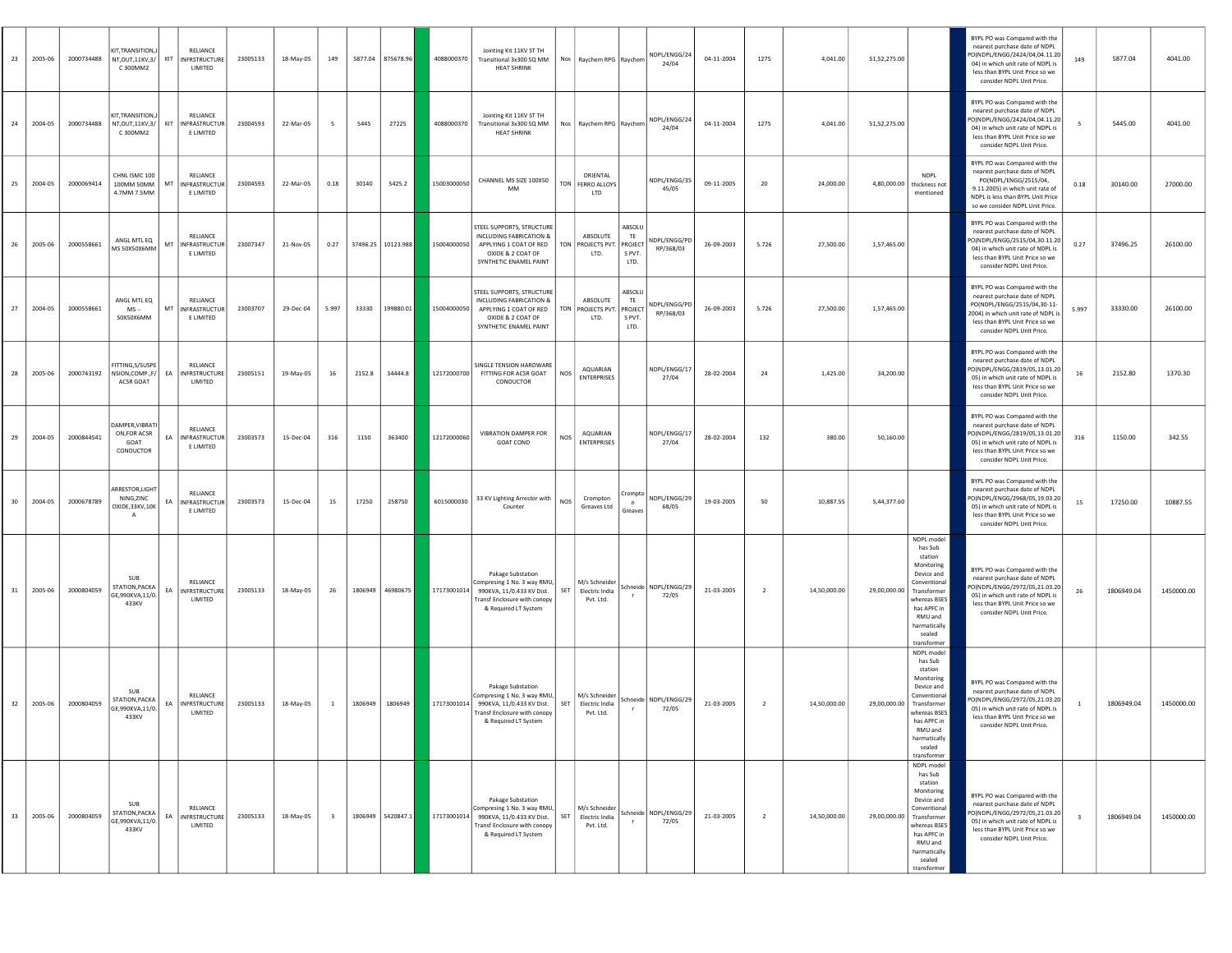| 23              | 2005-06 | 2000734488 | KIT, TRANSITION, J<br>NT, OUT, 11KV, 3/   KIT<br>C 300MM2           |     | RELIANCE<br><b>INFRSTRUCTURE</b><br>LIMITED   | 23005133 | 18-May-05 | 149                     |                 | 5877.04 875678.96  | 4088000370  | Jointing Kit 11KV ST TH<br>Transitional 3x300 SQ MM<br><b>HEAT SHRINK</b>                                                                   |            | Nos Raychem RPG Raychem                      |                                           | NDPL/ENGG/24<br>24/04            | 04-11-2004 | 1275           | 4,041.00     | 51,52,275.00 |                                                                                                                                                                                | BYPL PO was Compared with the<br>nearest purchase date of NDPL<br>O(NDPL/ENGG/2424/04,04.11.20<br>04) in which unit rate of NDPL is<br>less than BYPL Unit Price so we<br>consider NDPL Unit Price.  | 149   | 5877.04    | 4041.00    |
|-----------------|---------|------------|---------------------------------------------------------------------|-----|-----------------------------------------------|----------|-----------|-------------------------|-----------------|--------------------|-------------|---------------------------------------------------------------------------------------------------------------------------------------------|------------|----------------------------------------------|-------------------------------------------|----------------------------------|------------|----------------|--------------|--------------|--------------------------------------------------------------------------------------------------------------------------------------------------------------------------------|------------------------------------------------------------------------------------------------------------------------------------------------------------------------------------------------------|-------|------------|------------|
| 24              | 2004-05 | 2000734488 | KIT, TRANSITION,<br>NT, OUT, 11KV, 3/<br>C 300MM2                   | KIT | RELIANCE<br><b>INFRASTRUCTUR</b><br>E LIMITED | 23004593 | 22-Mar-05 | - 5                     | 5445            | 27225              | 4088000370  | Jointing Kit 11KV ST TH<br>Transitional 3x300 SQ MM<br><b>HEAT SHRINK</b>                                                                   |            | Nos Raychem RPG Raychem                      |                                           | NDPL/ENGG/24<br>24/04            | 04-11-2004 | 1275           | 4.041.00     | 51,52,275.00 |                                                                                                                                                                                | BYPL PO was Compared with the<br>nearest purchase date of NDPL<br>O(NDPL/ENGG/2424/04,04.11.20<br>04) in which unit rate of NDPL is<br>less than BYPL Unit Price so we<br>consider NDPL Unit Price.  | - 5   | 5445.00    | 4041.00    |
| 25              | 2004-05 | 2000069414 | CHNL ISMC 100<br>100MM 50MM<br>4.7MM 7.5MM                          | MT  | RELIANCE<br>NFRASTRUCTUR<br>E LIMITED         | 23004593 | 22-Mar-05 | 0.18                    | 30140           | 5425.2             | 15003000050 | CHANNEL MS SIZE 100X50<br>MM                                                                                                                |            | ORIENTAL<br>TON FERRO ALLOYS<br><b>LTD</b>   |                                           | NDPL/ENGG/3!<br>45/05            | 09-11-2005 | 20             | 24,000.00    | 4,80,000.00  | <b>NDPL</b><br>thickness not<br>mentioned                                                                                                                                      | BYPL PO was Compared with the<br>nearest purchase date of NDPL<br>PO(NDPL/ENGG/2515/04,<br>9.11.2005) in which unit rate of<br>NDPL is less than BYPL Unit Price<br>so we consider NDPL Unit Price.  | 0.18  | 30140.00   | 27000.00   |
| 26              | 2005-06 | 2000558661 | ANGL MTL EQ<br>MS 50X50X6MM                                         | MT  | RELIANCE<br>NFRASTRUCTUR<br>E LIMITED         | 23007347 | 21-Nov-05 | 0.27                    |                 | 37496.25 10123.988 | 15004000050 | STEEL SUPPORTS, STRUCTURE<br>INCLUDING FABRICATION &<br>APPLYING 1 COAT OF RED<br>OXIDE & 2 COAT OF<br>SYNTHETIC ENAMEL PAINT               |            | ABSOLUTE<br>TON PROJECTS PVT.<br>LTD.        | ABSOLL<br>TE<br>PROJECT<br>S PVT.<br>LTD. | NDPL/ENGG/PD<br>RP/368/03        | 26-09-2003 | 5.726          | 27,500.00    | 1,57,465.00  |                                                                                                                                                                                | BYPL PO was Compared with the<br>nearest purchase date of NDPL<br>O(NDPL/ENGG/2515/04,30.11.20<br>04) in which unit rate of NDPL is<br>less than BYPL Unit Price so we<br>consider NDPL Unit Price.  | 0.27  | 37496.25   | 26100.00   |
| 27              | 2004-05 | 2000558661 | ANGL MTL EQ<br>MS --<br>50X50X6MM                                   | MT  | RELIANCE<br>INFRASTRUCTUR<br>E LIMITED        | 23003707 | 29-Dec-04 | 5.997                   | 33330           | 199880.01          | 15004000050 | STEEL SUPPORTS, STRUCTURE<br>INCLUDING FABRICATION &<br>APPLYING 1 COAT OF RED<br>OXIDE & 2 COAT OF<br>SYNTHETIC ENAMEL PAINT               |            | ABSOLUTE<br>TON PROJECTS PVT.<br>LTD.        | ABSOLU<br>TE<br>PROJECT<br>S PVT.<br>LTD. | NDPL/ENGG/PD<br>RP/368/03        | 26-09-2003 | 5.726          | 27,500.00    | 1,57,465.00  |                                                                                                                                                                                | BYPL PO was Compared with the<br>nearest purchase date of NDPL<br>PO(NDPL/ENGG/2515/04,30-11-<br>2004) in which unit rate of NDPL is<br>less than BYPL Unit Price so we<br>consider NDPL Unit Price. | 5.997 | 33330.00   | 26100.00   |
| 28              | 2005-06 | 2000743192 | FITTING.S/SUSPE<br>NSION, COMP., F/<br>ACSR GOAT                    | EA  | RELIANCE<br><b>INFRSTRUCTURE</b><br>LIMITED   | 23005151 | 19-May-05 | 16                      | 2152.8          | 34444.8            | 12172000700 | SINGLE TENSION HARDWARE<br>FITTING FOR ACSR GOAT<br>CONDUCTOR                                                                               | <b>NOS</b> | <b>AQUARIAN</b><br><b>ENTERPRISES</b>        |                                           | NDPL/ENGG/17<br>27/04            | 28-02-2004 | 24             | 1,425.00     | 34,200.00    |                                                                                                                                                                                | BYPL PO was Compared with the<br>nearest purchase date of NDPL<br>O(NDPL/ENGG/2819/05.13.01.20<br>05) in which unit rate of NDPL is<br>less than BYPL Unit Price so we<br>consider NDPL Unit Price.  | 16    | 2152.80    | 1370.30    |
| 29              | 2004-05 | 2000844541 | DAMPER, VIBRATI<br>ON, FOR ACSR<br>GOAT<br>CONDUCTOR                | EA  | RELIANCE<br>INFRASTRUCTUR<br>E LIMITED        | 23003573 | 15-Dec-04 | 316                     | 1150            | 363400             | 12172000060 | VIBRATION DAMPER FOR<br>GOAT COND                                                                                                           | NOS        | AQUARIAN<br><b>ENTERPRISES</b>               |                                           | NDPL/ENGG/17<br>27/04            | 28-02-2004 | 132            | 380.00       | 50,160.00    |                                                                                                                                                                                | BYPL PO was Compared with the<br>nearest purchase date of NDPL<br>O(NDPL/ENGG/2819/05,13.01.20<br>05) in which unit rate of NDPL is<br>less than BYPL Unit Price so we<br>consider NDPL Unit Price.  | 316   | 1150.00    | 342.55     |
| 30 <sub>o</sub> | 2004-05 | 2000678789 | ARRESTOR, LIGHT<br>NING, ZINC<br>OXIDE, 33KV, 10K<br>$\overline{A}$ | EA  | RELIANCE<br>NFRASTRUCTUR<br>E LIMITED         | 23003573 | 15-Dec-04 | 15                      | 17250           | 258750             | 6015000030  | 33 KV Lighting Arrestor with<br>Counter                                                                                                     | <b>NOS</b> | Crompton<br>Greaves Ltd                      | Crompto<br>Greaves                        | NDPL/ENGG/29<br>68/05            | 19-03-2005 | 50             | 10,887.55    | 5,44,377.60  |                                                                                                                                                                                | BYPL PO was Compared with the<br>nearest purchase date of NDPL<br>O(NDPL/ENGG/2968/05,19.03.20<br>05) in which unit rate of NDPL is<br>less than BYPL Unit Price so we<br>consider NDPL Unit Price.  | 15    | 17250.00   | 10887.55   |
| 31              | 2005-06 | 2000804059 | SUB<br>STATION, PACKA<br>GE,990KVA,11/0.<br>433KV                   | EA  | RELIANCE<br>INFRSTRUCTURE<br>LIMITED          | 23005133 | 18-May-05 | 26                      |                 | 1806949 46980675   | 17173001014 | <b>Pakage Substation</b><br>Compresing 1 No. 3 way RMU,<br>990KVA, 11/0.433 KV Dist.<br>ransf Enclosure with conopy<br>& Required LT System | SET        | M/s Schneider<br>Electric India<br>Pvt. Ltd. |                                           | Schneide NDPL/ENGG/29<br>72/05   | 21-03-2005 | $\overline{2}$ | 14,50,000.00 | 29,00,000.00 | NDPL model<br>has Sub<br>station<br>Monitoring<br>Device and<br>Conventional<br>Transformer<br>whereas BSES<br>has APFC in<br>RMU and<br>harmatically<br>sealed<br>transformer | BYPL PO was Compared with the<br>nearest purchase date of NDPL<br>O(NDPL/ENGG/2972/05,21.03.20<br>05) in which unit rate of NDPL is<br>less than BYPL Unit Price so we<br>consider NDPL Unit Price.  | 26    | 1806949.04 | 1450000.00 |
| 32              | 2005-06 | 2000804059 | <b>SUB</b><br>STATION, PACKA<br>GE,990KVA,11/0.<br>433KV            | EA  | RELIANCE<br><b>INFRSTRUCTURE</b><br>LIMITED   | 23005133 | 18-May-05 | $\overline{1}$          | 1806949 1806949 |                    | 17173001014 | Pakage Substation<br>Compresing 1 No. 3 way RMU,<br>990KVA, 11/0.433 KV Dist.<br>Transf Enclosure with conopy<br>& Required LT System       | SET        | M/s Schneider<br>Electric India<br>Pvt. Ltd. |                                           | Schneide NDPL/ENGG/29<br>72/05   | 21-03-2005 | $\overline{2}$ | 14,50,000.00 | 29,00,000.00 | NDPL model<br>has Sub<br>station<br>Monitoring<br>Device and<br>Conventional<br>Transformer<br>whereas BSES<br>has APFC in<br>RMU and<br>harmatically<br>sealed<br>transformer | BYPL PO was Compared with the<br>nearest purchase date of NDPL<br>O(NDPL/ENGG/2972/05,21.03.20<br>05) in which unit rate of NDPL is<br>less than BYPL Unit Price so we<br>consider NDPL Unit Price.  |       | 1806949.04 | 1450000.00 |
| 33              | 2005-06 | 2000804059 | <b>SUB</b><br>STATION, PACKA<br>GE,990KVA,11/0.<br>433KV            |     | RELIANCE<br>EA INFRSTRUCTURE<br>LIMITED       | 23005133 | 18-May-05 | $\overline{\mathbf{3}}$ |                 | 1806949 5420847.1  | 17173001014 | Pakage Substation<br>Compresing 1 No. 3 way RMU,<br>990KVA, 11/0.433 KV Dist.<br>Transf Enclosure with conopy<br>& Required LT System       | SET        | M/s Schneider<br>Electric India<br>Pvt. Ltd. |                                           | Schneide   NDPL/ENGG/29<br>72/05 | 21-03-2005 | $\overline{2}$ | 14,50,000.00 | 29,00,000.00 | NDPL model<br>has Sub<br>station<br>Monitoring<br>Device and<br>Conventional<br>Transformer<br>whereas BSES<br>has APFC in<br>RMU and<br>harmatically<br>sealed<br>transformer | BYPL PO was Compared with the<br>nearest purchase date of NDPL<br>PO(NDPL/ENGG/2972/05,21.03.20<br>05) in which unit rate of NDPL is<br>less than BYPL Unit Price so we<br>consider NDPL Unit Price. |       | 1806949.04 | 1450000.00 |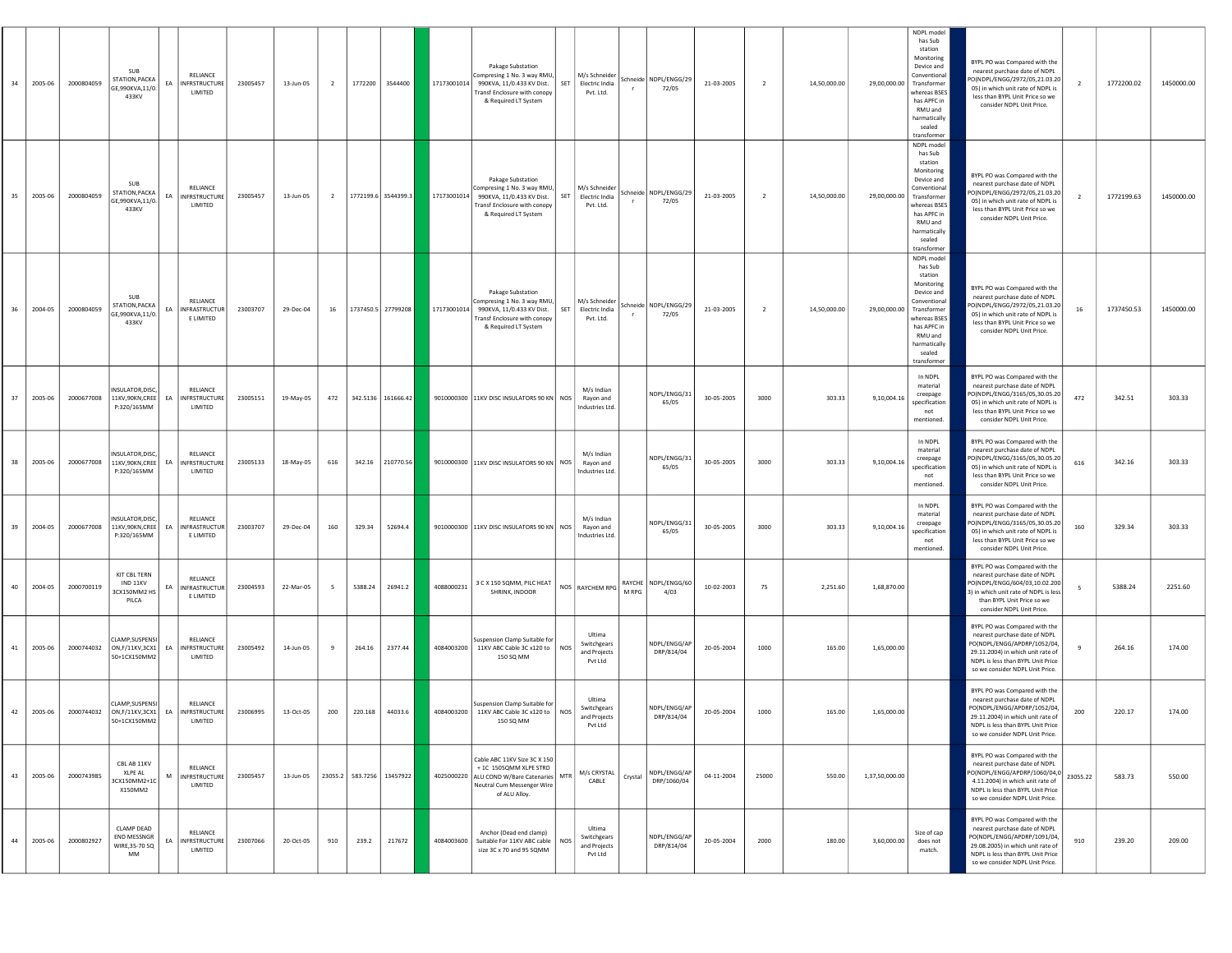| 34 | 2005-06 | 2000804059 | <b>SUB</b><br>STATION, PACKA<br>GE,990KVA,11/0.<br>433KV              |    | <b>RELIANCE</b><br>EA INFRSTRUCTURE<br>LIMITED     | 23005457 | 13-Jun-05 | $\overline{2}$ |                           | 1772200 3544400     | 17173001014 | Pakage Substation<br>ompresing 1 No. 3 way RMU,<br>990KVA, 11/0.433 KV Dist.<br>Transf Enclosure with conopy<br>& Required LT System               | SET        | M/s Schneider<br>Electric India<br>Pvt. Ltd.     |         | Schneide NDPL/ENGG/29<br>72/05 | 21-03-2005 | $\overline{2}$ | 14,50,000.00 | 29,00,000.00   | NDPL model<br>has Sub<br>station<br>Monitoring<br>Device and<br>Conventional<br>Transformer<br>whereas BSES<br>has APFC in<br>RMU and<br>harmatically<br>sealed<br>transformer | BYPL PO was Compared with the<br>nearest purchase date of NDPL<br>O(NDPL/ENGG/2972/05,21.03.20<br>05) in which unit rate of NDPL is<br>less than BYPL Unit Price so we<br>consider NDPL Unit Price.                                             | $\overline{2}$ | 1772200.02 | 1450000.00 |
|----|---------|------------|-----------------------------------------------------------------------|----|----------------------------------------------------|----------|-----------|----------------|---------------------------|---------------------|-------------|----------------------------------------------------------------------------------------------------------------------------------------------------|------------|--------------------------------------------------|---------|--------------------------------|------------|----------------|--------------|----------------|--------------------------------------------------------------------------------------------------------------------------------------------------------------------------------|-------------------------------------------------------------------------------------------------------------------------------------------------------------------------------------------------------------------------------------------------|----------------|------------|------------|
| 35 | 2005-06 | 2000804059 | SUB<br><b>STATION, PACKA</b><br>GE,990KVA,11/0.<br>433KV              |    | RELIANCE<br>EA INFRSTRUCTURE<br>LIMITED            | 23005457 | 13-Jun-05 | $\overline{2}$ |                           | 1772199.6 3544399.3 | 17173001014 | Pakage Substation<br>ompresing 1 No. 3 way RMU,<br>990KVA, 11/0.433 KV Dist.<br>Transf Enclosure with conopy<br>& Required LT System               | SET        | M/s Schneider<br>Electric India<br>Pvt. Ltd.     |         | Schneide NDPL/ENGG/29<br>72/05 | 21-03-2005 | $\overline{2}$ | 14.50.000.00 | 29,00,000.00   | NDPL model<br>has Sub<br>station<br>Monitoring<br>Device and<br>Conventional<br>Transformer<br>whereas BSES<br>has APFC in<br>RMU and<br>harmatically<br>sealed<br>transformer | BYPL PO was Compared with the<br>nearest purchase date of NDPL<br>O(NDPL/ENGG/2972/05,21.03.20<br>05) in which unit rate of NDPL is<br>less than BYPL Unit Price so we<br>consider NDPL Unit Price.                                             | $\overline{2}$ | 1772199.63 | 1450000.00 |
| 36 | 2004-05 | 2000804059 | <b>SUR</b><br><b>STATION, PACKA</b><br>GE,990KVA,11/0<br>433KV        | EA | RELIANCE<br><b>NFRASTRUCTUR</b><br>E LIMITED       | 23003707 | 29-Dec-04 | 16             | 1737450.5 27799208        |                     | 17173001014 | Pakage Substation<br>ompresing 1 No. 3 way RMU,<br>990KVA, 11/0.433 KV Dist.<br><b>Transf Enclosure with conopy</b><br>& Required LT System        | SET        | M/s Schneider<br>Electric India<br>Pvt. Ltd.     |         | Schneide NDPL/ENGG/29<br>72/05 | 21-03-2005 | $\overline{2}$ | 14,50,000.00 | 29,00,000.00   | NDPL model<br>has Sub<br>station<br>Monitoring<br>Device and<br>Conventional<br>Transformer<br>whereas BSES<br>has APFC in<br>RMU and<br>harmatically<br>sealed<br>transformer | BYPL PO was Compared with the<br>nearest purchase date of NDPL<br>O(NDPL/ENGG/2972/05,21.03.20<br>05) in which unit rate of NDPL is<br>less than BYPL Unit Price so we<br>consider NDPL Unit Price.                                             | 16             | 1737450.53 | 1450000.00 |
|    | 2005-06 | 2000677008 | NSULATOR.DISC<br>11KV,90KN,CREE<br>P:320/165MM                        | EA | <b>RELIANCE</b><br><b>INFRSTRUCTURE</b><br>LIMITED | 23005151 | 19-May-05 | 472            |                           | 342.5136 161666.42  | 9010000300  | 11KV DISC INSULATORS 90 KN   NOS                                                                                                                   |            | M/s Indian<br>Rayon and<br>Industries Ltd        |         | NDPL/ENGG/31<br>65/05          | 30-05-2005 | 3000           | 303.33       | 9,10,004.16    | In NDPL<br>material<br>creepage<br>specification<br>not<br>mentioned.                                                                                                          | BYPL PO was Compared with the<br>nearest purchase date of NDPL<br>O(NDPL/ENGG/3165/05,30.05.20<br>05) in which unit rate of NDPL is<br>less than BYPL Unit Price so we<br>consider NDPL Unit Price.                                             | 472            | 342.51     | 303.33     |
|    | 2005-06 | 2000677008 | INSULATOR, DISC<br>11KV,90KN,CREE<br>P:320/165MM                      |    | RELIANCE<br>EA INFRSTRUCTURE<br>LIMITED            | 23005133 | 18-May-05 | 616            |                           | 342.16 210770.56    |             | 9010000300 11KV DISC INSULATORS 90 KN NOS                                                                                                          |            | M/s Indian<br>Rayon and<br>Industries Ltd        |         | NDPL/ENGG/31<br>65/05          | 30-05-2005 | 3000           | 303.33       | 9,10,004.16    | In NDPL<br>material<br>creepage<br>specification<br>not<br>mentioned.                                                                                                          | BYPL PO was Compared with the<br>nearest purchase date of NDPL<br>O(NDPL/ENGG/3165/05,30.05.20<br>05) in which unit rate of NDPL is<br>less than BYPL Unit Price so we<br>consider NDPL Unit Price.                                             | 616            | 342.16     | 303.33     |
|    | 2004-05 | 2000677008 | INSULATOR, DISC,<br>11KV,90KN,CREE<br>P:320/165MM                     |    | RELIANCE<br>EA INFRASTRUCTUR<br>E LIMITED          | 23003707 | 29-Dec-04 | 160            | 329.34                    | 52694.4             |             | 9010000300 11KV DISC INSULATORS 90 KN NOS                                                                                                          |            | M/s Indian<br>Ravon and<br>Industries Ltd.       |         | NDPL/ENGG/31<br>65/05          | 30-05-2005 | 3000           | 303.33       | 9,10,004.16    | In NDPL<br>material<br>creepage<br>specification<br>not<br>mentioned.                                                                                                          | BYPL PO was Compared with the<br>nearest purchase date of NDPL<br>O(NDPL/ENGG/3165/05,30.05.20<br>05) in which unit rate of NDPL is<br>less than BYPL Unit Price so we<br>consider NDPL Unit Price.                                             | 160            | 329.34     | 303.33     |
| 40 | 2004-05 | 2000700119 | <b>KIT CBL TERN</b><br>IND 11KV<br>3CX150MM2 HS<br>PILCA              | EA | RELIANCE<br><b>INFRASTRUCTUR</b><br>E LIMITED      | 23004593 | 22-Mar-05 | 5              | 5388.24                   | 26941.2             | 4088000231  | 3 C X 150 SQMM, PILC HEAT<br>SHRINK, INDOOR                                                                                                        |            | NOS RAYCHEM RPG                                  | M RPG   | RAYCHE NDPL/ENGG/60<br>4/03    | 10-02-2003 | 75             | 2,251.60     | 1,68,870.00    |                                                                                                                                                                                | BYPL PO was Compared with the<br>nearest purchase date of NDPL<br>O(NDPL/ENGG/604/03,10.02.200<br>s) in which unit rate of NDPL is less<br>than BYPL Unit Price so we<br>consider NDPL Unit Price.                                              | 5              | 5388.24    | 2251.60    |
| 41 | 2005-06 | 2000744032 | CLAMP.SUSPENSI<br>ON, F/11KV, 3CX1<br>50+1CX150MM2                    | EA | RELIANCE<br><b>INFRSTRUCTURE</b><br>LIMITED        | 23005492 | 14-Jun-05 | 9              | 264.16                    | 2377.44             | 4084003200  | Suspension Clamp Suitable for<br>11KV ABC Cable 3C x120 to<br>150 SQ MM                                                                            | <b>NOS</b> | Ultima<br>Switchgears<br>and Projects<br>Pvt Ltd |         | NDPL/ENGG/AP<br>DRP/814/04     | 20-05-2004 | 1000           | 165.00       | 1,65,000.00    |                                                                                                                                                                                | BYPL PO was Compared with the<br>nearest purchase date of NDPL<br>PO(NDPL/ENGG/APDRP/1052/04,<br>29.11.2004) in which unit rate of<br>NDPL is less than BYPL Unit Price<br>so we consider NDPL Unit Price.                                      |                | 264.16     | 174.00     |
| 42 | 2005-06 | 2000744032 | LAMP, SUSPENSI<br>ON, F/11KV, 3CX1 EA   INFRSTRUCTURE<br>50+1CX150MM2 |    | RELIANCE<br>LIMITED                                | 23006995 | 13-Oct-05 | 200            |                           | 220.168 44033.6     |             | suspension Clamp Suitable for<br>4084003200 11KV ABC Cable 3C x120 to  <br>150 SQ MM                                                               | <b>NOS</b> | Ultima<br>Switchgears<br>and Projects<br>Pvt Ltd |         | NDPL/ENGG/AP<br>DRP/814/04     | 20-05-2004 | 1000           | 165.00       | 1,65,000.00    |                                                                                                                                                                                | BYPL PO was Compared with the<br>nearest purchase date of NDPL<br>PO(NDPL/ENGG/APDRP/1052/04,<br>29.11.2004) in which unit rate of<br>IDPL is less than BYPL Unit Price<br>so we consider NDPL Unit Price.                                      | 200            | 220.17     | 174.00     |
| 43 | 2005-06 | 2000743985 | CBL AB 11KV<br>XLPE AL<br>3CX150MM2+1C<br>X150MM2                     | M  | RELIANCE<br><b>INFRSTRUCTURE</b><br>LIMITED        | 23005457 | 13-Jun-05 |                | 23055.2 583.7256 13457922 |                     |             | Cable ABC 11KV Size 3C X 150<br>+ 1C 150SQMM XLPE STRD<br>4025000220 ALU COND W/Bare Catenaries MTR<br>Neutral Cum Messenger Wire<br>of ALU Alloy. |            | M/s CRYSTAL<br>CABLE                             | Crystal | NDPL/ENGG/AP<br>DRP/1060/04    | 04-11-2004 | 25000          | 550.00       | 1,37,50,000.00 |                                                                                                                                                                                | BYPL PO was Compared with the<br>nearest purchase date of NDPL<br>- Preditor pulsiwal and the Magnetic PO(NDPL/ENGG/APDRP/1060/04.0<br>4.11.2004) in which unit rate of<br>NDPL is less than BYPL Unit Price<br>so we consider NDPL Unit Price. |                | 583.73     | 550.00     |
| 44 | 2005-06 | 2000802927 | CLAMP DEAD<br>END MESSNGR<br>WIRE, 35-70 SQ<br>MM                     | EA | RELIANCE<br>INFRSTRUCTURE<br>LIMITED               | 23007066 | 20-Oct-05 | 910            | 239.2                     | 217672              | 4084003600  | Anchor (Dead end clamp)<br>Suitable For 11KV ABC cable<br>size 3C x 70 and 95 SQMM                                                                 | <b>NOS</b> | Ultima<br>Switchgears<br>and Projects<br>Pvt Ltd |         | NDPL/ENGG/AP<br>DRP/814/04     | 20-05-2004 | 2000           | 180.00       | 3,60,000.00    | Size of cap<br>does not<br>match.                                                                                                                                              | BYPL PO was Compared with the<br>nearest purchase date of NDPL<br>PO(NDPL/ENGG/APDRP/1091/04,<br>29.08.2005) in which unit rate of<br>NDPL is less than BYPL Unit Price<br>so we consider NDPL Unit Price.                                      | 910            | 239.20     | 209.00     |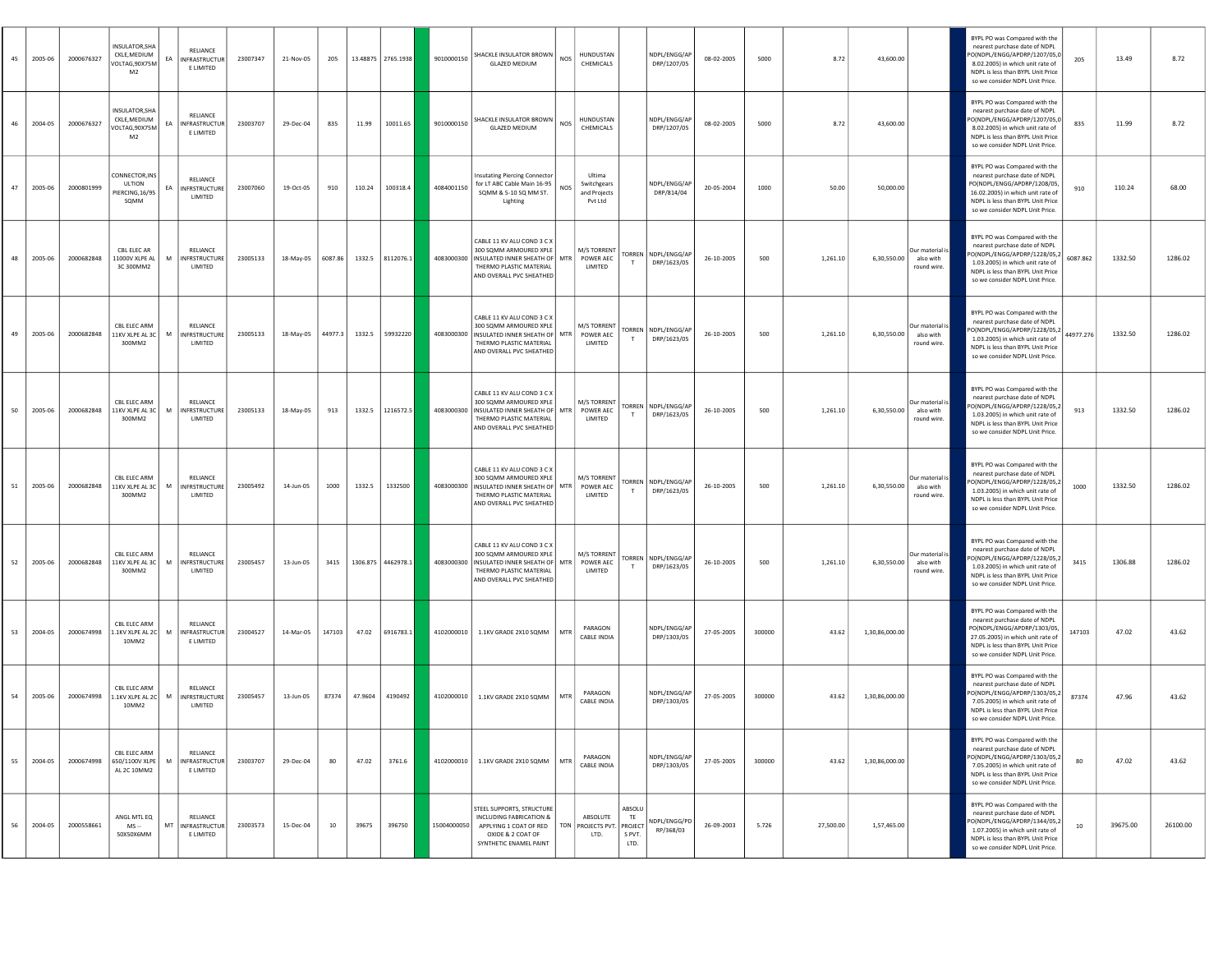| 2005-06<br>45 | 2000676327 | INSULATOR, SHA<br>CKLE, MEDIUM<br>VOLTAG, 90X75M<br>M <sub>2</sub> | EA | RELIANCE<br><b>INFRASTRUCTUR</b><br>E LIMITED      | 23007347 | 21-Nov-05 | 205     |         | 13.48875   2765.1938 | 9010000150  | SHACKLE INSULATOR BROWN<br><b>GLAZED MEDIUM</b>                                                                                                | HUNDUSTAN<br><b>NOS</b><br>CHEMICALS                    |                                | NDPL/ENGG/AP<br>DRP/1207/05          | 08-02-2005 | 5000   | 8.72      | 43,600.00      |                                             | BYPL PO was Compared with the<br>nearest purchase date of NDPL<br>PO(NDPL/ENGG/APDRP/1207/05,0<br>8.02.2005) in which unit rate of<br>NDPL is less than BYPL Unit Price<br>so we consider NDPL Unit Price. | 205       | 13.49    | 8.72     |
|---------------|------------|--------------------------------------------------------------------|----|----------------------------------------------------|----------|-----------|---------|---------|----------------------|-------------|------------------------------------------------------------------------------------------------------------------------------------------------|---------------------------------------------------------|--------------------------------|--------------------------------------|------------|--------|-----------|----------------|---------------------------------------------|------------------------------------------------------------------------------------------------------------------------------------------------------------------------------------------------------------|-----------|----------|----------|
| 2004-05<br>46 | 2000676327 | INSULATOR, SHA<br>CKLE, MEDIUM<br>VOLTAG, 90X75M<br>M <sub>2</sub> | EA | RELIANCE<br><b>INFRASTRUCTUR</b><br>E LIMITED      | 23003707 | 29-Dec-04 | 835     | 11.99   | 10011.65             | 9010000150  | SHACKLE INSULATOR BROWN<br><b>GLAZED MEDIUM</b>                                                                                                | HUNDUSTAN<br><b>NOS</b><br>CHEMICALS                    |                                | NDPL/ENGG/AP<br>DRP/1207/05          | 08-02-2005 | 5000   | 8.72      | 43,600.00      |                                             | BYPL PO was Compared with the<br>nearest purchase date of NDPL<br>PO(NDPL/ENGG/APDRP/1207/05,0<br>8.02.2005) in which unit rate of<br>NDPL is less than BYPL Unit Price<br>so we consider NDPL Unit Price. | 835       | 11.99    | 8.72     |
| 47<br>2005-06 | 2000801999 | CONNECTOR, INS<br>ULTION<br>PIERCING, 16/95<br>SOMM                | EA | RELIANCE<br>NFRSTRUCTURE<br>LIMITED                | 23007060 | 19-Oct-05 | 910     | 110.24  | 100318.4             | 4084001150  | <b>Insutating Piercing Connector</b><br>for LT ABC Cable Main 16-95<br>SQMM & 5-10 SQ MM ST.<br>Lighting                                       | Ultima<br>Switchgears<br>NOS<br>and Projects<br>Pvt Ltd |                                | NDPL/ENGG/AP<br>DRP/814/04           | 20-05-2004 | 1000   | 50.00     | 50,000.00      |                                             | BYPL PO was Compared with the<br>nearest purchase date of NDPL<br>PO(NDPL/ENGG/APDRP/1208/05,<br>16.02.2005) in which unit rate of<br>NDPL is less than BYPL Unit Price<br>so we consider NDPL Unit Price. | 910       | 110.24   | 68.00    |
| 2005-06<br>48 | 2000682848 | CBL ELEC AR<br>11000V XLPE AL<br>3C 300MM2                         | M  | RELIANCE<br>NFRSTRUCTURE<br>LIMITED                | 23005133 | 18-May-05 | 6087.86 |         | 1332.5 8112076.1     | 4083000300  | CABLE 11 KV ALU COND 3 C X<br>300 SQMM ARMOURED XPLE<br>INSULATED INNER SHEATH OF<br>THERMO PLASTIC MATERIAL<br>AND OVERALL PVC SHEATHED       | <b>M/S TORRENT</b><br>MTR<br>POWER AEC<br>LIMITED       | <b>TORREN</b>                  | NDPL/ENGG/AP<br>DRP/1623/05          | 26-10-2005 | 500    | 1,261.10  | 6,30,550.00    | Our material is<br>also with<br>round wire. | BYPL PO was Compared with the<br>nearest purchase date of NDPL<br>PO(NDPL/ENGG/APDRP/1228/05,2<br>1.03.2005) in which unit rate of<br>NDPL is less than BYPL Unit Price<br>so we consider NDPL Unit Price. | 6087.862  | 1332.50  | 1286.02  |
| 2005-06<br>49 | 2000682848 | CBL ELEC ARM<br>11KV XLPE AL 3C<br>300MM2                          | M  | RELIANCE<br><b>INFRSTRUCTURE</b><br>LIMITED        | 23005133 | 18-May-05 | 44977.3 |         | 1332.5 59932220      | 4083000300  | CABLE 11 KV ALU COND 3 C X<br>300 SQMM ARMOURED XPLE<br>INSULATED INNER SHEATH OF   MTR<br>THERMO PLASTIC MATERIAL<br>AND OVERALL PVC SHEATHED | <b>M/S TORRENT</b><br>POWER AEC<br>LIMITED              | TORREN<br>T                    | NDPL/ENGG/AP<br>DRP/1623/05          | 26-10-2005 | 500    | 1,261.10  | 6,30,550.00    | Our material is<br>also with<br>round wire. | BYPL PO was Compared with the<br>nearest purchase date of NDPL<br>PO(NDPL/ENGG/APDRP/1228/05,2<br>1.03.2005) in which unit rate of<br>NDPL is less than BYPL Unit Price<br>so we consider NDPL Unit Price. | 44977.276 | 1332.50  | 1286.02  |
| 50<br>2005-06 | 2000682848 | CBL ELEC ARM<br>11KV XLPE AL 3C<br>300MM2                          | M  | <b>RELIANCE</b><br><b>INFRSTRUCTURE</b><br>LIMITED | 23005133 | 18-May-05 | 913     |         | 1332.5 1216572.5     | 4083000300  | CABLE 11 KV ALU COND 3 C X<br>300 SQMM ARMOURED XPLE<br>INSULATED INNER SHEATH OF MTR<br>THERMO PLASTIC MATERIAL<br>AND OVERALL PVC SHEATHED   | <b>M/S TORRENT</b><br>POWER AEC<br>LIMITED              | T                              | TORREN NDPL/ENGG/AP<br>DRP/1623/05   | 26-10-2005 | 500    | 1,261.10  | 6,30,550.00    | Our material is<br>also with<br>round wire. | BYPL PO was Compared with the<br>nearest purchase date of NDPL<br>PO(NDPL/ENGG/APDRP/1228/05,2<br>1.03.2005) in which unit rate of<br>NDPL is less than BYPL Unit Price<br>so we consider NDPL Unit Price. | 913       | 1332.50  | 1286.02  |
| 2005-06<br>51 | 2000682848 | CBL ELEC ARM<br>11KV XLPE AL 3C<br>300MM2                          | M  | RELIANCE<br><b>INFRSTRUCTURE</b><br>LIMITED        | 23005492 | 14-Jun-05 | 1000    |         | 1332.5 1332500       | 4083000300  | CABLE 11 KV ALLI COND 3 C X<br>300 SQMM ARMOURED XPLE<br>INSULATED INNER SHEATH OF MTR<br>THERMO PLASTIC MATERIAL<br>AND OVERALL PVC SHEATHED  | M/S TORRENT<br>POWER AEC<br>LIMITED                     | T                              | TORREN   NDPL/ENGG/AP<br>DRP/1623/05 | 26-10-2005 | 500    | 1,261.10  | 6,30,550.00    | Our material is<br>also with<br>round wire. | BYPL PO was Compared with the<br>nearest purchase date of NDPL<br>O(NDPL/ENGG/APDRP/1228/05,2<br>1.03.2005) in which unit rate of<br>NDPL is less than BYPL Unit Price<br>so we consider NDPL Unit Price.  | 1000      | 1332.50  | 1286.02  |
| 2005-06<br>52 | 2000682848 | CBL ELEC ARM<br>11KV XLPE AL 3C<br>300MM2                          | M  | RELIANCE<br><b>INFRSTRUCTURE</b><br>LIMITED        | 23005457 | 13-Jun-05 | 3415    |         | 1306.875 4462978.1   | 4083000300  | CABLE 11 KV ALU COND 3 C X<br>300 SQMM ARMOURED XPLE<br>INSULATED INNER SHEATH OF MTR<br>THERMO PLASTIC MATERIAL<br>AND OVERALL PVC SHEATHED   | <b>M/S TORRENT</b><br>POWER AEC<br>LIMITED              |                                | TORREN NDPL/ENGG/AP<br>DRP/1623/05   | 26-10-2005 | 500    | 1,261.10  | 6,30,550.00    | Our material is<br>also with<br>round wire. | BYPL PO was Compared with the<br>nearest purchase date of NDPL<br>PO(NDPL/ENGG/APDRP/1228/05,2<br>1.03.2005) in which unit rate of<br>NDPL is less than BYPL Unit Price<br>so we consider NDPL Unit Price  | 3415      | 1306.88  | 1286.02  |
| 2004-05<br>53 | 2000674998 | CBL ELEC ARM<br>1.1KV XLPE AL 2C<br>10MM2                          | M  | RELIANCE<br><b>INFRASTRUCTUR</b><br>E LIMITED      | 23004527 | 14-Mar-05 | 147103  | 47.02   | 6916783.1            | 4102000010  | 1.1KV GRADE 2X10 SQMM                                                                                                                          | PARAGON<br>MTR<br><b>CABLE INDIA</b>                    |                                | NDPL/ENGG/AP<br>DRP/1303/05          | 27-05-2005 | 300000 | 43.62     | 1,30,86,000.00 |                                             | BYPL PO was Compared with the<br>nearest purchase date of NDPL<br>PO(NDPL/ENGG/APDRP/1303/05,<br>27.05.2005) in which unit rate of<br>NDPL is less than BYPL Unit Price<br>so we consider NDPL Unit Price. | 147103    | 47.02    | 43.62    |
| 2005-06       | 2000674998 | CBL ELEC ARM<br>1.1KV XLPE AL 2C<br>10MM2                          | м  | RELIANCE<br>NFRSTRUCTURE<br>LIMITED                | 23005457 | 13-Jun-05 | 87374   | 47.9604 | 4190492              | 4102000010  | 1.1KV GRADE 2X10 SQMM                                                                                                                          | PARAGON<br>MTR<br><b>CABLE INDIA</b>                    |                                | NDPL/ENGG/AP<br>DRP/1303/05          | 27-05-2005 | 300000 | 43.62     | 1,30,86,000.00 |                                             | BYPL PO was Compared with the<br>nearest purchase date of NDPL<br>O(NDPL/ENGG/APDRP/1303/05,2<br>7.05.2005) in which unit rate of<br>NDPL is less than BYPL Unit Price<br>so we consider NDPL Unit Price.  | 87374     | 47.96    | 43.62    |
| 55<br>2004-05 | 2000674998 | CBL ELEC ARM<br>650/1100V XLPE<br>AL 2C 10MM2                      | M  | RELIANCE<br>INFRASTRUCTUR<br>E LIMITED             | 23003707 | 29-Dec-04 | 80      | 47.02   | 3761.6               | 4102000010  | 1.1KV GRADE 2X10 SQMM                                                                                                                          | PARAGON<br>MTR<br><b>CABLE INDIA</b>                    |                                | NDPL/ENGG/AP<br>DRP/1303/05          | 27-05-2005 | 300000 | 43.62     | 1,30,86,000.00 |                                             | BYPL PO was Compared with the<br>nearest purchase date of NDPL<br>PO(NDPL/ENGG/APDRP/1303/05,2<br>7.05.2005) in which unit rate of<br>NDPL is less than BYPL Unit Price<br>so we consider NDPL Unit Price. | 80        | 47.02    | 43.62    |
| 2004-05<br>56 | 2000558661 | ANGL MTL EQ<br>$MS -$<br>50X50X6MM                                 |    | RELIANCE<br>MT INFRASTRUCTUR<br>E LIMITED          | 23003573 | 15-Dec-04 | 10      | 39675   | 396750               | 15004000050 | STEEL SUPPORTS, STRUCTURE<br>INCLUDING FABRICATION &<br>APPLYING 1 COAT OF RED<br>OXIDE & 2 COAT OF<br>SYNTHETIC ENAMEL PAINT                  | ABSOLUTE<br>TON PROJECTS PVT. PROJECT<br>LTD.           | ABSOLU<br>TE<br>S PVT.<br>LTD. | NDPL/ENGG/PD<br>RP/368/03            | 26-09-2003 | 5.726  | 27,500.00 | 1,57,465.00    |                                             | BYPL PO was Compared with the<br>nearest purchase date of NDPL<br>PO(NDPL/ENGG/APDRP/1344/05,2<br>1.07.2005) in which unit rate of<br>NDPL is less than BYPL Unit Price<br>so we consider NDPL Unit Price. | 10        | 39675.00 | 26100.00 |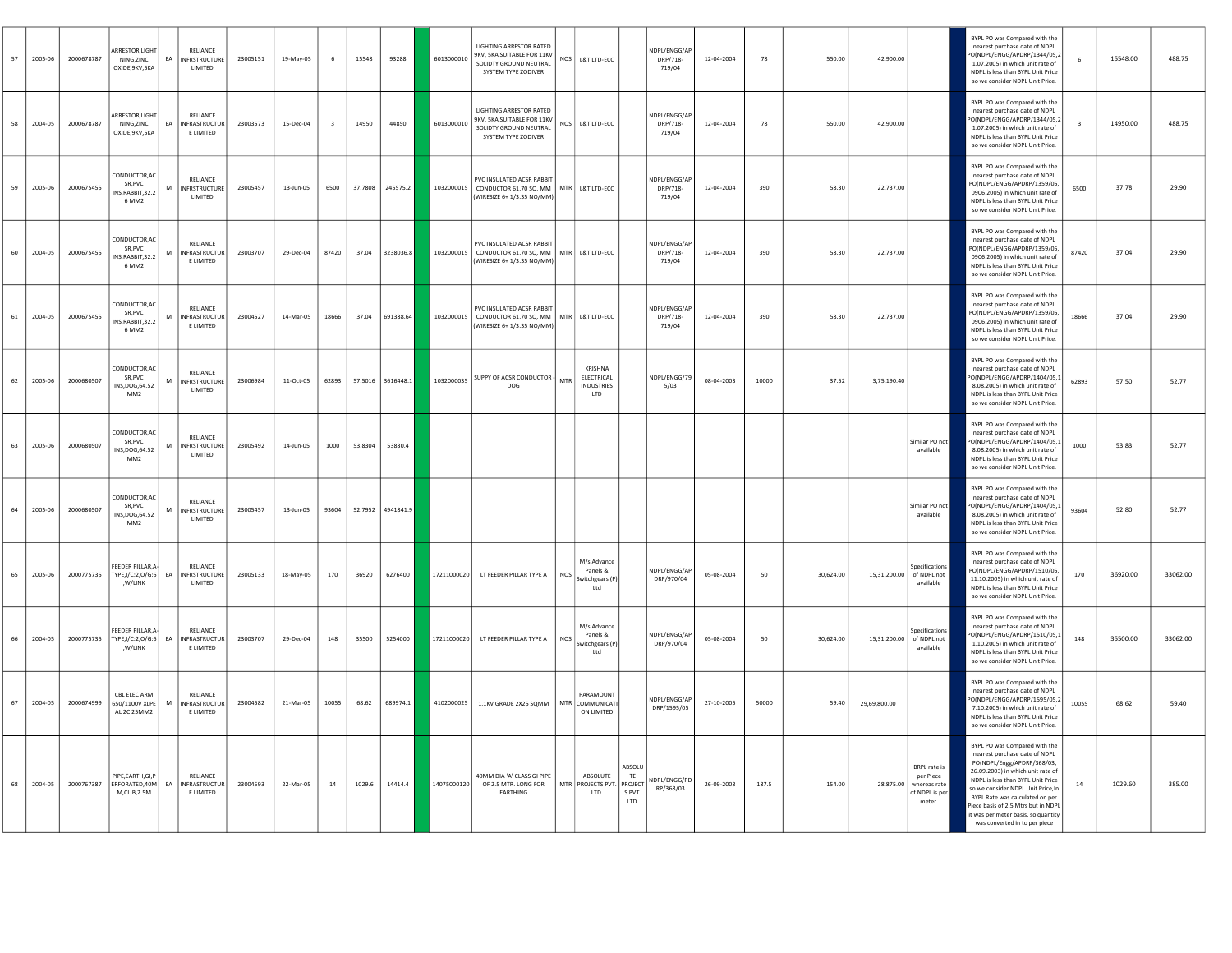| 57 | 2005-06 | 2000678787 | ARRESTOR.LIGHT<br>NING, ZINC<br>OXIDE, 9KV, 5KA                | EA | <b>RELIANCE</b><br><b>INFRSTRUCTURE</b><br>LIMITED   | 23005151 | 19-May-05          | 6                       | 15548   | 93288             | 6013000010  | LIGHTING ARRESTOR RATED<br>9KV, 5KA SUITABLE FOR 11KV<br>SOLIDTY GROUND NEUTRAL<br>SYSTEM TYPE ZODIVER | <b>NOS</b>   | L&T LTD-ECC                                              |                                           | NDPL/ENGG/AP<br>DRP/718-<br>719/04 | 12-04-2004 | 78    | 550.00    | 42,900.00    |                                                                                 | BYPL PO was Compared with the<br>nearest purchase date of NDPL<br>O(NDPL/ENGG/APDRP/1344/05.2<br>1.07.2005) in which unit rate of<br>NDPL is less than BYPL Unit Price<br>so we consider NDPL Unit Price.                                                                                                                                                     |       | 15548.00 | 488.75   |
|----|---------|------------|----------------------------------------------------------------|----|------------------------------------------------------|----------|--------------------|-------------------------|---------|-------------------|-------------|--------------------------------------------------------------------------------------------------------|--------------|----------------------------------------------------------|-------------------------------------------|------------------------------------|------------|-------|-----------|--------------|---------------------------------------------------------------------------------|---------------------------------------------------------------------------------------------------------------------------------------------------------------------------------------------------------------------------------------------------------------------------------------------------------------------------------------------------------------|-------|----------|----------|
| 58 | 2004-05 | 2000678787 | ARRESTOR, LIGHT<br>NING, ZINC<br>OXIDE, 9KV, 5KA               | EA | <b>RELIANCE</b><br>INFRASTRUCTUR<br>E LIMITED        | 23003573 | 15-Dec-04          | $\overline{\mathbf{3}}$ | 14950   | 44850             | 6013000010  | LIGHTING ARRESTOR RATED<br>9KV, 5KA SUITABLE FOR 11KV<br>SOLIDTY GROUND NEUTRAL<br>SYSTEM TYPE ZODIVER | $_{\rm NOS}$ | L&T LTD-ECC                                              |                                           | NDPL/ENGG/AP<br>DRP/718-<br>719/04 | 12-04-2004 | 78    | 550.00    | 42,900.00    |                                                                                 | BYPL PO was Compared with the<br>nearest purchase date of NDPL<br>O(NDPL/ENGG/APDRP/1344/05,2<br>1.07.2005) in which unit rate of<br>NDPL is less than BYPL Unit Price<br>so we consider NDPL Unit Price.                                                                                                                                                     |       | 14950.00 | 488.75   |
| 59 | 2005-06 | 2000675455 | CONDUCTOR, AC<br>SR, PVC<br>INS.RABBIT.32.2<br>6 MM2           | M  | <b>RELIANCE</b><br><b>INFRSTRUCTURE</b><br>LIMITED   | 23005457 | 13-Jun-05          | 6500                    | 37.7808 | 245575.2          | 1032000015  | PVC INSULATED ACSR RABBIT<br>CONDUCTOR 61.70 SQ. MM   MTR<br>WIRESIZE 6+1/3.35 NO/MM)                  |              | L&T LTD-ECC                                              |                                           | NDPI/FNGG/AP<br>DRP/718-<br>719/04 | 12-04-2004 | 390   | 58.30     | 22.737.00    |                                                                                 | BYPL PO was Compared with the<br>nearest purchase date of NDPL<br>PO(NDPL/ENGG/APDRP/1359/05,<br>0906.2005) in which unit rate of<br>NDPL is less than BYPL Unit Price<br>so we consider NDPL Unit Price.                                                                                                                                                     | 6500  | 37.78    | 29.90    |
| 60 | 2004-05 | 2000675455 | CONDUCTOR, AO<br>SR, PVC<br>NS, RABBIT, 32.2<br>6 MM2          | M  | <b>RELIANCE</b><br><b>INFRASTRUCTUR</b><br>E LIMITED | 23003707 | 29-Dec-04          | 87420                   | 37.04   | 3238036.8         | 1032000015  | PVC INSULATED ACSR RABBIT<br>CONDUCTOR 61.70 SQ. MM   MTR<br>WIRESIZE 6+1/3.35 NO/MM)                  |              | L&T LTD-ECC                                              |                                           | NDPI/FNGG/AP<br>DRP/718-<br>719/04 | 12-04-2004 | 390   | 58.30     | 22.737.00    |                                                                                 | BYPL PO was Compared with the<br>nearest purchase date of NDPL<br>PO(NDPL/ENGG/APDRP/1359/05,<br>0906.2005) in which unit rate of<br>NDPL is less than BYPL Unit Price<br>so we consider NDPL Unit Price.                                                                                                                                                     | 87420 | 37.04    | 29.90    |
| 61 | 2004-05 | 2000675455 | CONDUCTOR, AO<br>SR, PVC<br>INS, RABBIT, 32.2<br>6 MM2         | M  | <b>RELIANCE</b><br><b>INFRASTRUCTUR</b><br>E LIMITED | 23004527 | 14-Mar-05          | 18666                   | 37.04   | 691388.64         | 1032000015  | PVC INSULATED ACSR RABBIT<br>CONDUCTOR 61.70 SQ. MM   MTR<br>WIRESIZE 6+1/3.35 NO/MM)                  |              | L&T LTD-ECC                                              |                                           | NDPI/FNGG/AP<br>DRP/718-<br>719/04 | 12-04-2004 | 390   | 58.30     | 22.737.00    |                                                                                 | BYPL PO was Compared with the<br>nearest purchase date of NDPL<br>PO(NDPL/ENGG/APDRP/1359/05,<br>0906.2005) in which unit rate of<br>NDPL is less than BYPL Unit Price<br>so we consider NDPL Unit Price.                                                                                                                                                     | 18666 | 37.04    | 29.90    |
| 62 | 2005-06 | 2000680507 | CONDUCTOR, AO<br>SR, PVC<br>INS, DOG, 64.52<br>MM <sub>2</sub> | M  | RELIANCE<br><b>INFRSTRUCTURE</b><br>LIMITED          | 23006984 | 11-Oct-05          | 62893                   |         | 57.5016 3616448.1 | 1032000035  | SUPPY OF ACSR CONDUCTOR<br>DOG                                                                         | MTR          | KRISHNA<br>ELECTRICAL<br><b>INDUSTRIES</b><br><b>ITD</b> |                                           | NDPL/ENGG/79<br>5/03               | 08-04-2003 | 10000 | 37.52     | 3.75.190.40  |                                                                                 | BYPL PO was Compared with the<br>nearest purchase date of NDPL<br>O(NDPL/ENGG/APDRP/1404/05,1<br>8.08.2005) in which unit rate of<br>NDPL is less than BYPL Unit Price<br>so we consider NDPL Unit Price.                                                                                                                                                     | 62893 | 57.50    | 52.77    |
| 63 | 2005-06 | 2000680507 | CONDUCTOR, AO<br>SR, PVC<br>INS, DOG, 64.52<br>MM <sub>2</sub> | M  | <b>RELIANCE</b><br><b>INFRSTRUCTURE</b><br>LIMITED   | 23005492 | 14-Jun-05          | 1000                    | 53.8304 | 53830.4           |             |                                                                                                        |              |                                                          |                                           |                                    |            |       |           |              | Similar PO not<br>available                                                     | BYPL PO was Compared with the<br>nearest purchase date of NDPL<br>O(NDPL/ENGG/APDRP/1404/05,1<br>8.08.2005) in which unit rate of<br>NDPL is less than BYPL Unit Price<br>so we consider NDPL Unit Price.                                                                                                                                                     | 1000  | 53.83    | 52.77    |
| 64 | 2005-06 | 2000680507 | CONDUCTOR, AO<br>SR, PVC<br>INS, DOG, 64.52<br>MM <sub>2</sub> | M  | RELIANCE<br><b>INFRSTRUCTURE</b><br>LIMITED          | 23005457 | $13 - \frac{1}{2}$ | 93604                   |         | 52.7952 4941841.9 |             |                                                                                                        |              |                                                          |                                           |                                    |            |       |           |              | Similar PO not<br>available                                                     | BYPL PO was Compared with the<br>nearest purchase date of NDPL<br>O(NDPL/ENGG/APDRP/1404/05,1<br>8.08.2005) in which unit rate of<br>NDPL is less than BYPL Unit Price<br>so we consider NDPL Unit Price.                                                                                                                                                     | 93604 | 52.80    | 52.77    |
| 65 | 2005-06 | 2000775735 | FEEDER PILLAR, A<br>TYPE,I/C:2,O/G:6 EA<br>,W/LINK             |    | RELIANCE<br><b>INFRSTRUCTURE</b><br>LIMITED          | 23005133 | 18-May-05          | 170                     | 36920   | 6276400           | 17211000020 | LT FEEDER PILLAR TYPE A                                                                                | <b>NOS</b>   | M/s Advance<br>Panels &<br>witchgears (P)<br>Ltd         |                                           | NDPL/ENGG/AP<br>DRP/970/04         | 05-08-2004 | 50    | 30.624.00 | 15,31,200.00 | Specifications<br>of NDPL not<br>available                                      | BYPL PO was Compared with the<br>nearest purchase date of NDPL<br>PO(NDPL/ENGG/APDRP/1510/05,<br>11.10.2005) in which unit rate of<br>NDPL is less than BYPL Unit Price<br>so we consider NDPL Unit Price.                                                                                                                                                    | 170   | 36920.00 | 33062.00 |
| 66 | 2004-05 | 2000775735 | FEEDER PILLAR.A<br>TYPE,I/C:2,O/G:6 EA<br>,W/LINK              |    | RELIANCE<br><b>INFRASTRUCTUR</b><br>E LIMITED        | 23003707 | 29-Dec-04          | 148                     | 35500   | 5254000           | 17211000020 | LT FEEDER PILLAR TYPE A                                                                                | <b>NOS</b>   | M/s Advance<br>Panels &<br>witchgears (P)<br>Ltd         |                                           | NDPL/ENGG/AP<br>DRP/970/04         | 05-08-2004 | 50    | 30.624.00 | 15,31,200.00 | Specifications<br>of NDPL not<br>available                                      | BYPL PO was Compared with the<br>nearest purchase date of NDPL<br>O(NDPL/ENGG/APDRP/1510/05,1<br>1.10.2005) in which unit rate of<br>NDPL is less than BYPL Unit Price<br>so we consider NDPL Unit Price.                                                                                                                                                     | 148   | 35500.00 | 33062.00 |
| 67 | 2004-05 | 2000674999 | CBL ELEC ARM<br>650/1100V XLPF<br>AL 2C 25MM2                  |    | RELIANCE<br><b>NERASTRUCTUR</b><br>E LIMITED         | 23004582 | 21-Mar-05          | 10055                   | 68.62   | 689974.1          | 4102000025  | 1.1KV GRADE 2X25 SQMM   MTR                                                                            |              | PARAMOUNT<br>COMMUNICATI<br>ON LIMITED                   |                                           | NDPL/ENGG/AP<br>DRP/1595/05        | 27-10-2005 | 50000 | 59.40     | 29.69.800.00 |                                                                                 | BYPL PO was Compared with the<br>nearest purchase date of NDPL<br>O(NDPL/ENGG/APDRP/1595/05,2<br>7.10.2005) in which unit rate of<br>NDPL is less than BYPL Unit Price<br>so we consider NDPL Unit Price.                                                                                                                                                     | 10055 | 68.62    | 59.40    |
| 68 | 2004-05 | 2000767387 | PIPE, EARTH, GI, P<br>FREORATED 40M<br>M.CL.B.2.5M             | EA | RELIANCE<br><b>INFRASTRUCTUR</b><br>E LIMITED        | 23004593 | 22-Mar-05          | 14                      | 1029.6  | 14414.4           | 14075000120 | 40MM DIA 'A' CLASS GI PIPE<br>OF 2.5 MTR. LONG FOR<br><b>FARTHING</b>                                  | <b>MTR</b>   | ABSOLUTE<br>PROJECTS PVT<br>LTD.                         | ABSOLU<br>TE<br>PROJECT<br>S PVT.<br>LTD. | <b>IDPL/ENGG/PD</b><br>RP/368/03   | 26-09-2003 | 187.5 | 154.00    |              | BRPL rate is<br>per Piece<br>28.875.00 whereas rate<br>of NDPL is per<br>meter. | BYPL PO was Compared with the<br>nearest purchase date of NDPL<br>PO(NDPL/Engg/APDRP/368/03,<br>26.09.2003) in which unit rate of<br>NDPL is less than BYPL Unit Price<br>so we consider NDPL Unit Price, In<br>BYPL Rate was calculated on per<br>Piece basis of 2.5 Mtrs but in NDPI<br>t was per meter basis, so quantity<br>was converted in to per piece | 14    | 1029.60  | 385.00   |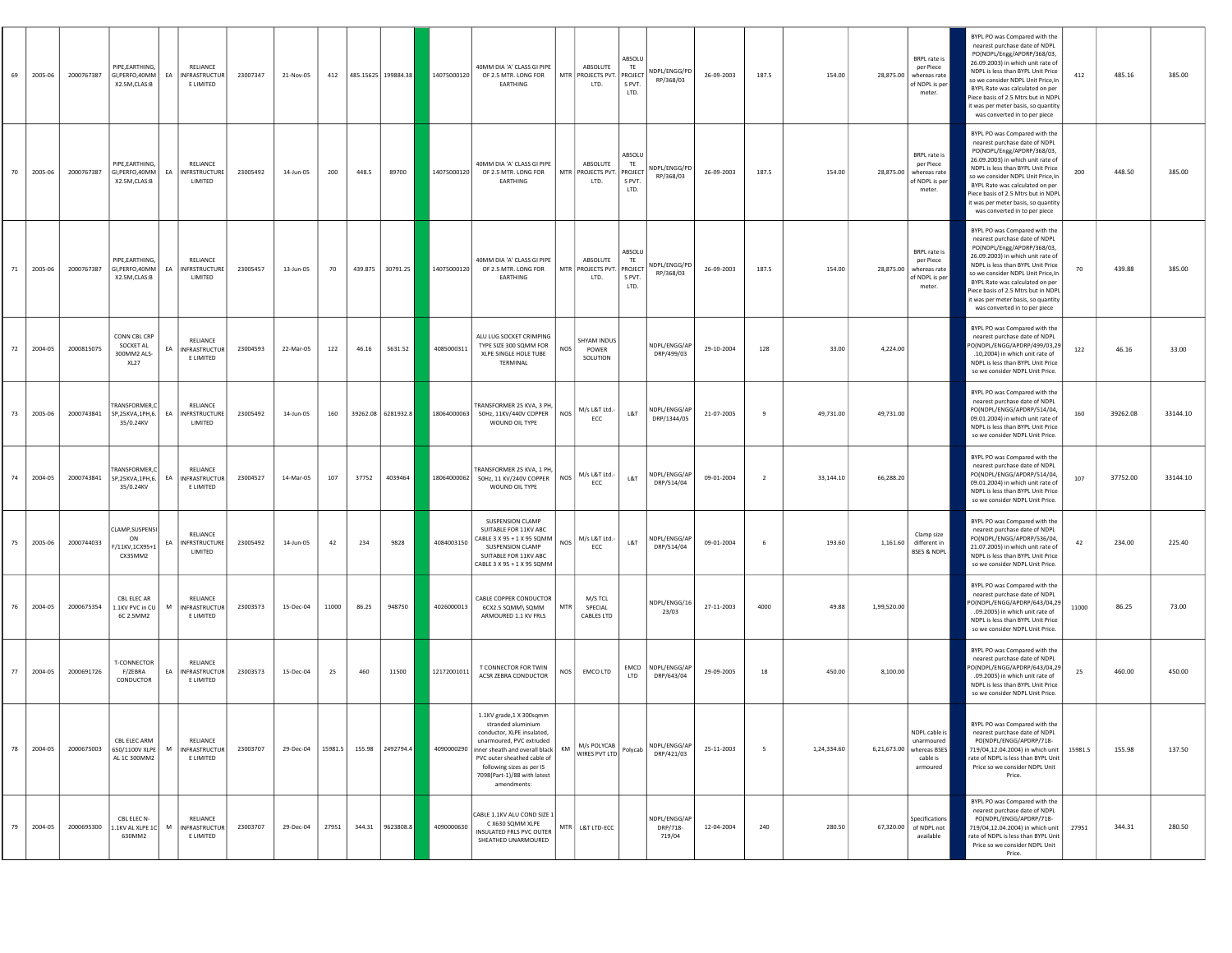| 69 | 2005-06 | 2000767387 | PIPE, EARTHING<br>GI, PERFO, 40MM<br>X2.5M,CLAS:B       | EA   | RELIANCE<br>INFRASTRUCTUR<br>E LIMITED        | 23007347 | 21-Nov-05 |         |        | 412 485.15625 199884.38 | 14075000120 | 40MM DIA 'A' CLASS GI PIPE<br>OF 2.5 MTR. LONG FOR<br>EARTHING                                                                                                                                                                                 | ABSOLUTE<br>MTR PROJECTS PVT.<br>LTD.          | ABSOLL<br>TE<br>PROJECT<br>S PVT.<br>LTD. | NDPL/ENGG/PD<br>RP/368/03          | 26-09-2003 | 187.5          | 154.00      |             | <b>BRPL</b> rate is<br>per Piece<br>28,875.00 whereas rate<br>of NDPL is per<br>meter. | BYPL PO was Compared with the<br>nearest purchase date of NDPL<br>PO(NDPL/Engg/APDRP/368/03,<br>26.09.2003) in which unit rate of<br>NDPL is less than BYPL Unit Price<br>412<br>so we consider NDPL Unit Price,In<br>BYPL Rate was calculated on per<br>Piece basis of 2.5 Mtrs but in NDPL<br>t was per meter basis, so quantity<br>was converted in to per piece | 485.16   | 385.00   |
|----|---------|------------|---------------------------------------------------------|------|-----------------------------------------------|----------|-----------|---------|--------|-------------------------|-------------|------------------------------------------------------------------------------------------------------------------------------------------------------------------------------------------------------------------------------------------------|------------------------------------------------|-------------------------------------------|------------------------------------|------------|----------------|-------------|-------------|----------------------------------------------------------------------------------------|---------------------------------------------------------------------------------------------------------------------------------------------------------------------------------------------------------------------------------------------------------------------------------------------------------------------------------------------------------------------|----------|----------|
| 70 | 2005-06 | 2000767387 | PIPE, EARTHING.<br>GI, PERFO, 40MM<br>X2.5M,CLAS:B      |      | RELIANCE<br>EA INFRSTRUCTURE<br>LIMITED       | 23005492 | 14-Jun-05 | 200     | 448.5  | 89700                   | 14075000120 | 40MM DIA 'A' CLASS GI PIPE<br>OF 2.5 MTR. LONG FOR<br>EARTHING                                                                                                                                                                                 | ABSOLUTE<br>MTR PROJECTS PVT. PROJECT<br>LTD.  | ABSOLU<br>TE<br>S PVT.<br>LTD.            | NDPL/ENGG/PD<br>RP/368/03          | 26-09-2003 | 187.5          | 154.00      |             | <b>BRPL</b> rate is<br>per Piece<br>28,875.00 whereas rate<br>of NDPL is per<br>meter. | BYPL PO was Compared with the<br>nearest purchase date of NDPL<br>PO(NDPL/Engg/APDRP/368/03,<br>26.09.2003) in which unit rate of<br>NDPL is less than BYPL Unit Price<br>200<br>so we consider NDPL Unit Price, In<br>BYPL Rate was calculated on per<br>Piece basis of 2.5 Mtrs but in NDPL<br>was per meter basis, so quantity<br>was converted in to per piece  | 448.50   | 385.00   |
| 71 | 2005-06 | 2000767387 | PIPE, EARTHING,<br>GI, PERFO, 40MM<br>X2.5M,CLAS:B      | EA   | RELIANCE<br>INFRSTRUCTURE<br>LIMITED          | 23005457 | 13-Jun-05 | 70      |        | 439.875 30791.25        | 14075000120 | 40MM DIA 'A' CLASS GI PIPE<br>OF 2.5 MTR. LONG FOR<br>EARTHING                                                                                                                                                                                 | ABSOLUTE<br>MTR PROJECTS PVT. PROJECT<br>LTD.  | ABSOLU<br>TE<br>S PVT.<br>LTD.            | NDPL/ENGG/PD<br>RP/368/03          | 26-09-2003 | 187.5          | 154.00      | 28,875.00   | BRPL rate is<br>per Piece<br>whereas rate<br>of NDPL is per<br>meter.                  | BYPL PO was Compared with the<br>nearest purchase date of NDPL<br>PO(NDPL/Engg/APDRP/368/03,<br>26.09.2003) in which unit rate of<br>NDPL is less than BYPL Unit Price<br>70<br>so we consider NDPL Unit Price,In<br>BYPL Rate was calculated on per<br>Piece basis of 2.5 Mtrs but in NDP<br>t was per meter basis, so quantity<br>was converted in to per piece   | 439.88   | 385.00   |
| 72 | 2004-05 | 2000815075 | CONN CBL CRF<br>SOCKET AL<br>300MM2 ALS-<br><b>XL27</b> | EA   | RELIANCE<br>INFRASTRUCTUR<br>E LIMITED        | 23004593 | 22-Mar-05 | 122     | 46.16  | 5631.52                 | 4085000311  | ALU LUG SOCKET CRIMPING<br>TYPE SIZE 300 SQMM FOR<br>XLPE SINGLE HOLE TUBE<br>TERMINAL                                                                                                                                                         | <b>SHYAM INDUS</b><br>NOS<br>POWER<br>SOLUTION |                                           | NDPL/ENGG/AP<br>DRP/499/03         | 29-10-2004 | 128            | 33.00       | 4,224.00    |                                                                                        | BYPL PO was Compared with the<br>nearest purchase date of NDPL<br>PO(NDPL/ENGG/APDRP/499/03,29<br>122<br>.10,2004) in which unit rate of<br>NDPL is less than BYPL Unit Price<br>so we consider NDPL Unit Price.                                                                                                                                                    | 46.16    | 33.00    |
| 73 | 2005-06 | 2000743841 | <b>FRANSFORMER,C</b><br>SP,25KVA,1PH,6.<br>35/0.24KV    | EA   | RELIANCE<br><b>INFRSTRUCTURE</b><br>LIMITED   | 23005492 | 14-Jun-05 | 160     |        | 39262.08 6281932.8      | 18064000063 | TRANSFORMER 25 KVA, 3 PH,<br>50Hz, 11KV/440V COPPER<br>WOUND OIL TYPE                                                                                                                                                                          | M/s L&T Ltd.-<br>NOS<br>ECC                    | L8T                                       | NDPL/ENGG/AP<br>DRP/1344/05        | 21-07-2005 | 9              | 49,731.00   | 49,731.00   |                                                                                        | BYPL PO was Compared with the<br>nearest purchase date of NDPL<br>PO(NDPL/ENGG/APDRP/514/04,<br>160<br>09.01.2004) in which unit rate of<br>NDPL is less than BYPL Unit Price<br>so we consider NDPL Unit Price.                                                                                                                                                    | 39262.08 | 33144.10 |
| 74 | 2004-05 | 2000743841 | TRANSFORMER,C<br>SP.25KVA.1PH.6.<br>35/0.24KV           | EA   | RELIANCE<br><b>INFRASTRUCTUR</b><br>E LIMITED | 23004527 | 14-Mar-05 | 107     | 37752  | 4039464                 |             | TRANSFORMER 25 KVA, 1 PH<br>18064000062 50Hz, 11 KV/240V COPPER<br>WOUND OIL TYPE                                                                                                                                                              | M/s L&T Ltd.-<br><b>NOS</b><br>ECC             | L&T                                       | NDPL/ENGG/AP<br>DRP/514/04         | 09-01-2004 | $\overline{2}$ | 33,144.10   | 66,288.20   |                                                                                        | BYPL PO was Compared with the<br>nearest purchase date of NDPL<br>PO(NDPL/ENGG/APDRP/514/04,<br>107<br>09.01.2004) in which unit rate of<br>NDPL is less than BYPL Unit Price<br>so we consider NDPL Unit Price.                                                                                                                                                    | 37752.00 | 33144.10 |
| 75 | 2005-06 | 2000744033 | CLAMP.SUSPENSI<br>ON<br>F/11KV,1CX95+1<br>CX35MM2       | EA   | RELIANCE<br>INFRSTRUCTURE<br>LIMITED          | 23005492 | 14-Jun-05 | 42      | 234    | 9828                    | 4084003150  | SUSPENSION CLAMP<br>SUITABLE FOR 11KV ABC<br>CABLE 3 X 95 + 1 X 95 SQMM<br>SUSPENSION CLAMP<br>SUITABLE FOR 11KV ABC<br>CABLE 3 X 95 + 1 X 95 SQMM                                                                                             | M/s L&T Ltd.-<br>NOS<br>ECC                    | L&T                                       | NDPL/ENGG/AP<br>DRP/514/04         | 09-01-2004 | 6              | 193.60      | 1,161.60    | Clamp size<br>different in<br>BSES & NDPL                                              | BYPL PO was Compared with the<br>nearest purchase date of NDPL<br>PO(NDPL/ENGG/APDRP/536/04,<br>42<br>21.07.2005) in which unit rate of<br>NDPL is less than BYPL Unit Price<br>so we consider NDPL Unit Price.                                                                                                                                                     | 234.00   | 225.40   |
| 76 | 2004-05 | 2000675354 | CBL ELEC AR<br>1.1KV PVC in CU<br>6C 2.5MM2             | M    | RELIANCE<br>INFRASTRUCTUR<br>E LIMITED        | 23003573 | 15-Dec-04 | 11000   | 86.25  | 948750                  | 4026000013  | CABLE COPPER CONDUCTOR<br>6CX2.5 SQMM\ SQMM<br>ARMOURED 1.1 KV FRLS                                                                                                                                                                            | M/S TCL<br>MTR<br>SPECIAL<br>CABLES LTD        |                                           | NDPL/ENGG/16<br>23/03              | 27-11-2003 | 4000           | 49.88       | 1.99.520.00 |                                                                                        | BYPL PO was Compared with the<br>nearest purchase date of NDPL<br>O(NDPL/ENGG/APDRP/643/04,29<br>11000<br>.09.2005) in which unit rate of<br>NDPL is less than BYPL Unit Price<br>so we consider NDPL Unit Price.                                                                                                                                                   | 86.25    | 73.00    |
| 77 | 2004-05 | 2000691726 | T-CONNECTOR<br>F/ZEBRA<br>CONDUCTOR                     | EA I | RELIANCE<br>INFRASTRUCTUR<br>E LIMITED        | 23003573 | 15-Dec-04 | 25      | 460    | 11500                   | 12172001011 | <b>T CONNECTOR FOR TWIN</b><br>ACSR ZEBRA CONDUCTOR                                                                                                                                                                                            | NOS<br>EMCO LTD                                | LTD                                       | EMCO NDPL/ENGG/AP<br>DRP/643/04    | 29-09-2005 | 18             | 450.00      | 8,100.00    |                                                                                        | BYPL PO was Compared with the<br>nearest purchase date of NDPL<br>O(NDPL/ENGG/APDRP/643/04,29<br>25<br>.09.2005) in which unit rate of<br>NDPL is less than BYPL Unit Price<br>so we consider NDPL Unit Price.                                                                                                                                                      | 460.00   | 450.00   |
| 78 | 2004-05 | 2000675003 | CBL ELEC ARM<br>650/1100V XLPE<br>AL 1C 300MM2          | M    | RELIANCE<br>INFRASTRUCTUR<br>E LIMITED        | 23003707 | 29-Dec-04 | 15981.5 |        | 155.98 2492794.4        |             | 1.1KV grade, 1 X 300sqmm<br>conductor, XLPE insulated,<br>unarmoured, PVC extruded<br>4090000290 inner sheath and overall black   KM<br>PVC outer sheathed cable of<br>following sizes as per IS<br>7098(Part-1)/88 with latest<br>amendments: | M/s POLYCAB<br>WIRES PVT LTD Polycab           |                                           | NDPL/ENGG/AP<br>DRP/421/03         | 25-11-2003 | 5              | 1,24,334.60 |             | NDPL cable is<br>unarmoured<br>6,21,673.00 whereas BSES<br>cable is<br>armoured        | RVPI PO was Com<br>nearest purchase date of NDPL<br>PO(NDPL/ENGG/APDRP/718-<br>719/04,12.04.2004) in which unit<br>15981.5<br>rate of NDPL is less than BYPL Unit<br>Price so we consider NDPL Unit<br>Price.                                                                                                                                                       | 155.98   | 137.50   |
| 79 | 2004-05 | 2000695300 | CBL ELEC N-<br>$1.1$ KV AL XLPE $1C$<br>630MM2          | M    | RELIANCE<br>INFRASTRUCTUR<br>E LIMITED        | 23003707 | 29-Dec-04 | 27951   | 344.31 | 9623808.8               | 4090000630  | CABLE 1.1KV ALU COND SIZE 1<br>C X630 SQMM XLPE<br>INSULATED FRLS PVC OUTER<br>SHEATHED UNARMOURED                                                                                                                                             | MTR L&T LTD-ECC                                |                                           | NDPL/ENGG/AP<br>DRP/718-<br>719/04 | 12-04-2004 | 240            | 280.50      | 67,320.00   | Specifications<br>of NDPL not<br>available                                             | BYPL PO was Compared with the<br>nearest purchase date of NDPL<br>PO(NDPL/ENGG/APDRP/718-<br>719/04,12.04.2004) in which unit<br>27951<br>rate of NDPL is less than BYPL Unit<br>Price so we consider NDPL Unit<br>Price.                                                                                                                                           | 344.31   | 280.50   |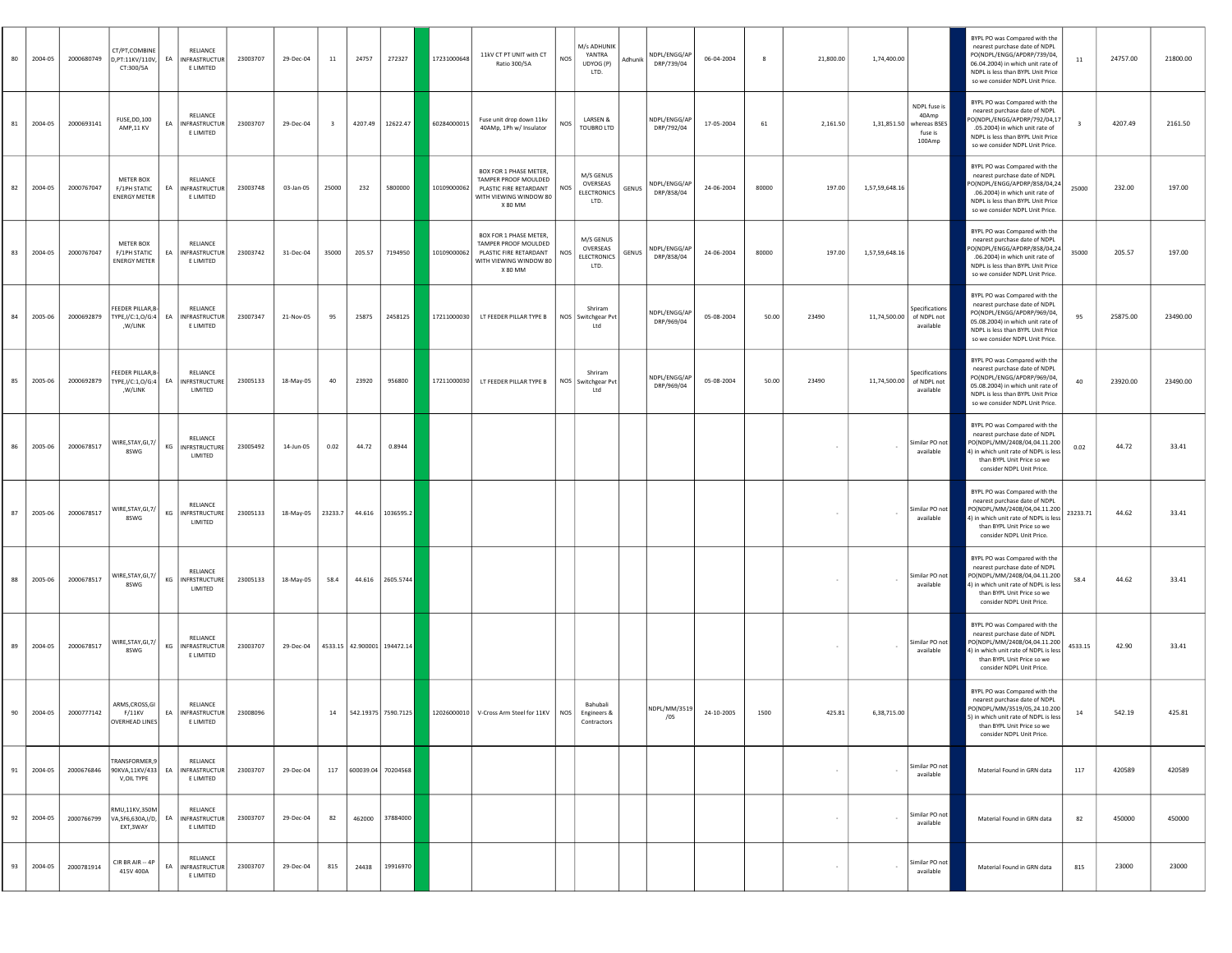| 80 | 2004-05 | 2000680749 | CT/PT,COMBINE<br>D, PT:11KV/110V,<br>CT:300/5A          | EA | RELIANCE<br>INFRASTRUCTUR<br>E LIMITED        | 23003707 | 29-Dec-04         | <b>11</b>               | 24757  | 272327                      | 17231000648 | 11kV CT PT UNIT with CT<br>Ratio 300/5A                                                                             | NOS        | M/s ADHUNIK<br>YANTRA<br>UDYOG (P)<br>LTD.          | Adhunik | NDPL/ENGG/AP<br>DRP/739/04 | 06-04-2004 | 8     | 21,800.00 | 1,74,400.00    |                                                            | BYPL PO was Compared with the<br>nearest purchase date of NDPL<br>PO(NDPL/ENGG/APDRP/739/04.<br>06.04.2004) in which unit rate of<br>NDPL is less than BYPL Unit Price<br>so we consider NDPL Unit Price. | 11                      | 24757.00 | 21800.00 |
|----|---------|------------|---------------------------------------------------------|----|-----------------------------------------------|----------|-------------------|-------------------------|--------|-----------------------------|-------------|---------------------------------------------------------------------------------------------------------------------|------------|-----------------------------------------------------|---------|----------------------------|------------|-------|-----------|----------------|------------------------------------------------------------|-----------------------------------------------------------------------------------------------------------------------------------------------------------------------------------------------------------|-------------------------|----------|----------|
| 81 | 2004-05 | 2000693141 | FUSE, DD, 100<br>AMP,11 KV                              | EA | RELIANCE<br>INFRASTRUCTUR<br>E LIMITED        | 23003707 | 29-Dec-04         | $\overline{\mathbf{3}}$ |        | 4207.49 12622.47            | 60284000015 | Fuse unit drop down 11kv<br>40AMp, 1Ph w/ Insulator                                                                 | NOS        | LARSEN &<br>TOUBRO LTD                              |         | NDPL/ENGG/AP<br>DRP/792/04 | 17-05-2004 | 61    | 2,161.50  | 1,31,851.50    | NDPL fuse is<br>40Amp<br>whereas BSES<br>fuse is<br>100Amp | BYPL PO was Compared with the<br>nearest purchase date of NDPL<br>O(NDPL/ENGG/APDRP/792/04,17<br>.05.2004) in which unit rate of<br>NDPL is less than BYPL Unit Price<br>so we consider NDPL Unit Price.  | $\overline{\mathbf{3}}$ | 4207.49  | 2161.50  |
| 82 | 2004-05 | 2000767047 | <b>METER BOX</b><br>F/1PH STATIC<br><b>ENERGY METER</b> | EA | RELIANCE<br><b>INFRASTRUCTUR</b><br>E LIMITED | 23003748 | 03-Jan-05         | 25000                   | 232    | 5800000                     | 10109000062 | BOX FOR 1 PHASE METER,<br>TAMPER PROOF MOULDED<br>PLASTIC FIRE RETARDANT<br>WITH VIEWING WINDOW 80<br>X 80 MM       | <b>NOS</b> | M/S GENUS<br>OVERSEAS<br>ELECTRONICS<br>LTD.        | GENUS   | NDPL/ENGG/AP<br>DRP/858/04 | 24-06-2004 | 80000 | 197.00    | 1,57,59,648.16 |                                                            | BYPL PO was Compared with the<br>nearest purchase date of NDPL<br>O(NDPL/ENGG/APDRP/858/04,24<br>.06.2004) in which unit rate of<br>NDPL is less than BYPL Unit Price<br>so we consider NDPL Unit Price.  | 25000                   | 232.00   | 197.00   |
| 83 | 2004-05 | 2000767047 | METER BOX<br>F/1PH STATIC<br><b>ENERGY METER</b>        | EA | RELIANCE<br>INFRASTRUCTUR<br>E LIMITED        | 23003742 | 31-Dec-04         | 35000                   | 205.57 | 7194950                     | 10109000062 | <b>BOX FOR 1 PHASE METER</b><br>TAMPER PROOF MOULDED<br>PLASTIC FIRE RETARDANT<br>WITH VIEWING WINDOW 80<br>X 80 MM | <b>NOS</b> | M/S GENUS<br>OVERSEAS<br><b>ELECTRONICS</b><br>LTD. | GENUS   | NDPL/ENGG/AP<br>DRP/858/04 | 24-06-2004 | 80000 | 197.00    | 1,57,59,648.16 |                                                            | BYPL PO was Compared with the<br>nearest purchase date of NDPL<br>O(NDPL/ENGG/APDRP/858/04,24<br>.06.2004) in which unit rate of<br>NDPL is less than BYPL Unit Price<br>so we consider NDPL Unit Price.  | 35000                   | 205.57   | 197.00   |
| 84 | 2005-06 | 2000692879 | FEEDER PILLAR, B-<br>TYPE, I/C:1,0/G:4   EA<br>,W/LINK  |    | RELIANCE<br>INFRASTRUCTUR<br>E LIMITED        | 23007347 | 21-Nov-05         | 95                      | 25875  | 2458125                     | 17211000030 | LT FEEDER PILLAR TYPE B   NOS Switchgear Pvt                                                                        |            | Shriram<br>Ltd                                      |         | NDPL/ENGG/AP<br>DRP/969/04 | 05-08-2004 | 50.00 | 23490     | 11,74,500.00   | ipecifications<br>of NDPL not<br>available                 | BYPL PO was Compared with the<br>earest purchase date of NDPL<br>PO(NDPL/ENGG/APDRP/969/04,<br>05.08.2004) in which unit rate of<br>NDPL is less than BYPL Unit Price<br>so we consider NDPL Unit Price.  | 95                      | 25875.00 | 23490.00 |
| 85 | 2005-06 | 2000692879 | FEEDER PILLAR, B-<br>TYPE, I/C:1, O/G:4   EA<br>,W/LINK |    | RELIANCE<br><b>INFRSTRUCTURE</b><br>LIMITED   | 23005133 | 18-May-05         | 40                      | 23920  | 956800                      | 17211000030 | LT FEEDER PILLAR TYPE B                                                                                             |            | Shriram<br>NOS Switchgear Pvt<br>Ltd                |         | NDPL/ENGG/AP<br>DRP/969/04 | 05-08-2004 | 50.00 | 23490     | 11,74,500.00   | Specifications<br>of NDPL not<br>available                 | BYPL PO was Compared with the<br>nearest purchase date of NDPL<br>PO(NDPL/ENGG/APDRP/969/04,<br>05.08.2004) in which unit rate of<br>NDPL is less than BYPL Unit Price<br>so we consider NDPL Unit Price. | 40                      | 23920.00 | 23490.00 |
| 86 | 2005-06 | 2000678517 | WIRE, STAY, GI, 7/<br>8SWG                              |    | RELIANCE<br>KG INFRSTRUCTURE<br>LIMITED       | 23005492 | 14-Jun-05         | 0.02                    | 44.72  | 0.8944                      |             |                                                                                                                     |            |                                                     |         |                            |            |       |           |                | Similar PO not<br>available                                | BYPL PO was Compared with the<br>nearest purchase date of NDPL<br>0(NDPL/MM/2408/04,04.11.200<br>) in which unit rate of NDPL is less<br>than BYPL Unit Price so we<br>consider NDPL Unit Price.          | 0.02                    | 44.72    | 33.41    |
| 87 | 2005-06 | 2000678517 | WIRE, STAY, GI, 7/<br>8SWG                              |    | RELIANCE<br>KG INFRSTRUCTURE<br>LIMITED       | 23005133 | 18-May-05 23233.7 |                         |        | 44.616 1036595.2            |             |                                                                                                                     |            |                                                     |         |                            |            |       |           |                | Similar PO not<br>available                                | BYPL PO was Compared with the<br>nearest purchase date of NDPL<br>0(NDPL/MM/2408/04,04.11.200<br>4) in which unit rate of NDPL is less<br>than BYPL Unit Price so we<br>consider NDPL Unit Price.         | 23233.71                | 44.62    | 33.41    |
| 88 | 2005-06 | 2000678517 | WIRE, STAY, GI, 7/<br>8SWG                              | KG | RELIANCE<br>NFRSTRUCTURE<br>LIMITED           | 23005133 | 18-May-05         | 58.4                    |        | 44.616 2605.5744            |             |                                                                                                                     |            |                                                     |         |                            |            |       |           |                | Similar PO not<br>available                                | BYPL PO was Compared with the<br>nearest purchase date of NDPL<br>O(NDPL/MM/2408/04,04.11.200<br>in which unit rate of NDPL is less<br>than BYPL Unit Price so we<br>consider NDPL Unit Price.            | 58.4                    | 44.62    | 33.41    |
| 89 | 2004-05 | 2000678517 | WIRE, STAY, GI, 7/<br>8SWG                              | KG | RELIANCE<br>INFRASTRUCTUR<br>E LIMITED        | 23003707 | 29-Dec-04         |                         |        | 4533.15 42.900001 194472.14 |             |                                                                                                                     |            |                                                     |         |                            |            |       |           | $\sim$         | Similar PO not<br>available                                | BYPL PO was Compared with the<br>nearest purchase date of NDPL<br>0(NDPL/MM/2408/04,04.11.200<br>) in which unit rate of NDPL is less<br>than BYPL Unit Price so we<br>consider NDPL Unit Price.          | 4533.15                 | 42.90    | 33.41    |
| 90 | 2004-05 | 2000777142 | ARMS, CROSS, GI<br>F/11KV<br>OVERHEAD LINES             |    | RELIANCE<br>EA INFRASTRUCTUR<br>E LIMITED     | 23008096 |                   |                         |        | 14 542.19375 7590.7125      |             | 12026000010 V-Cross Arm Steel for 11KV NOS                                                                          |            | Bahubali<br>Engineers &<br>Contractors              |         | NDPL/MM/3519<br>/05        | 24-10-2005 | 1500  | 425.81    | 6,38,715.00    |                                                            | BYPL PO was Compared with the<br>nearest purchase date of NDPL<br>0(NDPL/MM/3519/05,24.10.200<br>5) in which unit rate of NDPL is less<br>than BYPL Unit Price so we<br>consider NDPL Unit Price.         | 14                      | 542.19   | 425.81   |
| 91 | 2004-05 | 2000676846 | TRANSFORMER,9<br>90KVA,11KV/433<br>V.OIL TYPE           | EA | RELIANCE<br><b>INFRASTRUCTUR</b><br>E LIMITED | 23003707 | 29-Dec-04         | 117                     |        | 600039.04 70204568          |             |                                                                                                                     |            |                                                     |         |                            |            |       | $\sim$    | $\sim$         | Similar PO not<br>available                                | Material Found in GRN data                                                                                                                                                                                | 117                     | 420589   | 420589   |
| 92 | 2004-05 | 2000766799 | RMU,11KV,350M<br>VA, SF6, 630A, I/D,<br>EXT, 3 WAY      | EA | RELIANCE<br>NFRASTRUCTUR<br>E LIMITED         | 23003707 | 29-Dec-04         | 82                      | 462000 | 37884000                    |             |                                                                                                                     |            |                                                     |         |                            |            |       | $\sim$    | $\sim$         | Similar PO no<br>available                                 | Material Found in GRN data                                                                                                                                                                                | 82                      | 450000   | 450000   |
| 93 | 2004-05 | 2000781914 | CIR BR AIR -- 4P<br>415V 400A                           |    | RELIANCE<br>EA INFRASTRUCTUR<br>E LIMITED     | 23003707 | 29-Dec-04         | 815                     | 24438  | 19916970                    |             |                                                                                                                     |            |                                                     |         |                            |            |       |           |                | Similar PO not<br>available                                | Material Found in GRN data                                                                                                                                                                                | 815                     | 23000    | 23000    |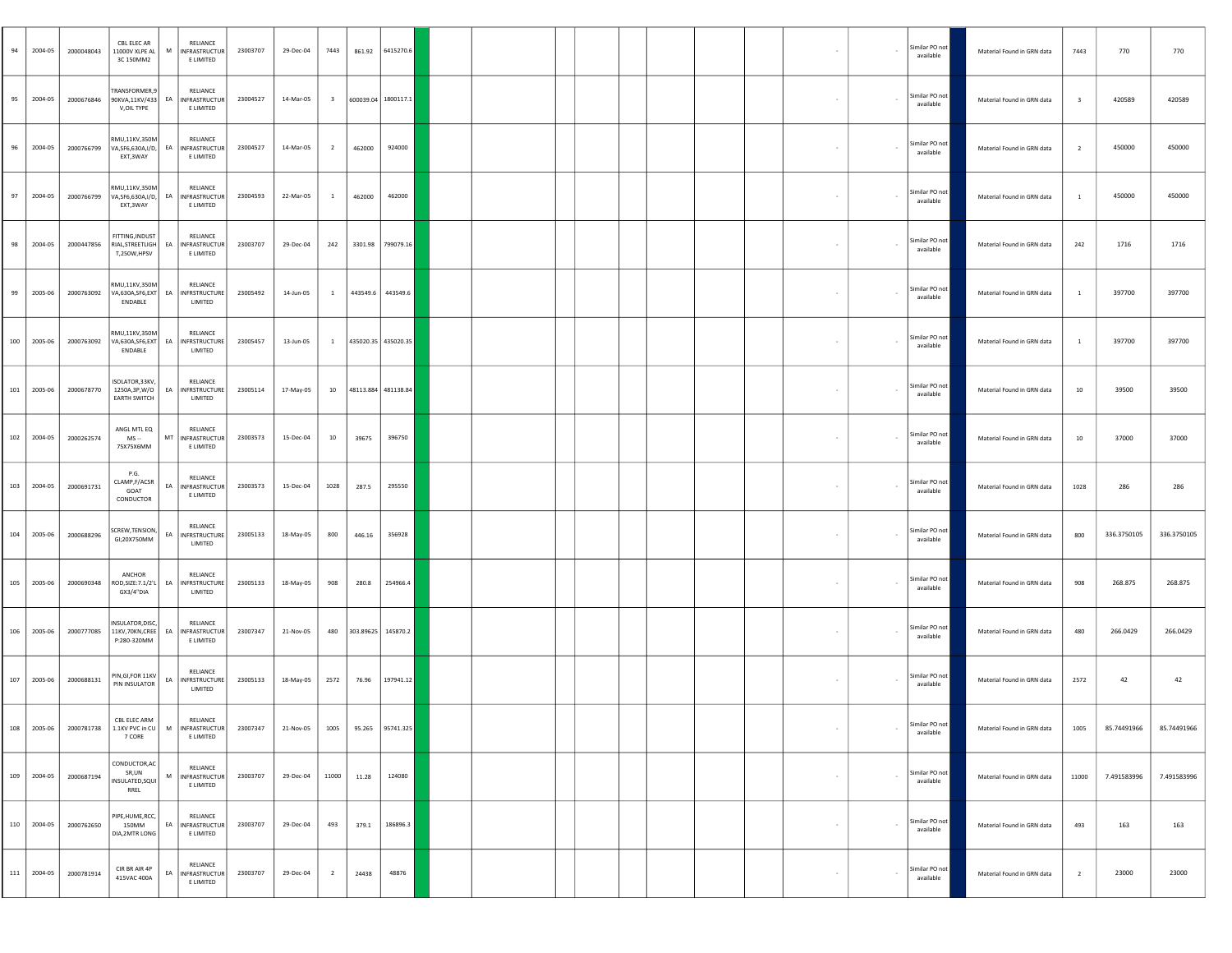| 94  | 2004-05     | 2000048043 | CBL ELEC AR<br>11000V XLPE AL<br>3C 150MM2                                                 | RELIANCE<br>M INFRASTRUCTUR<br>E LIMITED                               | 23003707 | 29-Dec-04                             | 7443                    | 861.92              | 6415270.6           |  |  |  |        | $\overline{\phantom{a}}$ | Similar PO not<br>available | Material Found in GRN data | 7443                    | 770         | 770         |
|-----|-------------|------------|--------------------------------------------------------------------------------------------|------------------------------------------------------------------------|----------|---------------------------------------|-------------------------|---------------------|---------------------|--|--|--|--------|--------------------------|-----------------------------|----------------------------|-------------------------|-------------|-------------|
| 95  | 2004-05     | 2000676846 | <b>FRANSFORMER,9</b><br>V, OIL TYPE                                                        | RELIANCE<br>90KVA,11KV/433 EA INFRASTRUCTUR<br>E LIMITED               | 23004527 | 14-Mar-05                             | $\overline{\mathbf{3}}$ |                     | 600039.04 1800117.1 |  |  |  | $\sim$ | $\sim$                   | Similar PO not<br>available | Material Found in GRN data | $\overline{\mathbf{3}}$ | 420589      | 420589      |
| 96  | 2004-05     | 2000766799 | RMU,11KV,350M<br>EXT, 3 WAY                                                                | RELIANCE<br>VA, SF6, 630A, I/D, EA INFRASTRUCTUR<br>E LIMITED          | 23004527 | 14-Mar-05                             | $\overline{2}$          | 462000              | 924000              |  |  |  |        | $\overline{\phantom{a}}$ | Similar PO not<br>available | Material Found in GRN data | $\overline{2}$          | 450000      | 450000      |
| 97  | 2004-05     | 2000766799 | RMU,11KV,350M<br>EXT, 3 WAY                                                                | <b>RELIANCE</b><br>VA, SF6, 630A, I/D, EA   INFRASTRUCTUR<br>E LIMITED | 23004593 | 22-Mar-05                             | $\mathbf{1}$            | 462000              | 462000              |  |  |  |        | $\overline{\phantom{a}}$ | Similar PO not<br>available | Material Found in GRN data | $\mathbf{1}$            | 450000      | 450000      |
| 98  | 2004-05     | 2000447856 | FITTING.INDUST<br>T,250W,HPSV                                                              | RELIANCE<br>RIAL, STREETLIGH   EA   INFRASTRUCTUR<br>E LIMITED         | 23003707 | 29-Dec-04                             | 242                     |                     | 3301.98 799079.16   |  |  |  |        | $\sim$                   | Similar PO not<br>available | Material Found in GRN data | 242                     | 1716        | 1716        |
| 99  | 2005-06     | 2000763092 | RMU,11KV,350M<br>ENDABLE                                                                   | RELIANCE<br>VA,630A,SF6,EXT EA INFRSTRUCTURE<br>LIMITED                | 23005492 | 14-Jun-05                             | $\mathbf{1}$            | 443549.6            | 443549.6            |  |  |  |        | $\overline{\phantom{a}}$ | Similar PO not<br>available | Material Found in GRN data | $\mathbf{1}$            | 397700      | 397700      |
|     | 100 2005-06 | 2000763092 | RMU,11KV,350M<br>ENDABLE                                                                   | RELIANCE<br>VA,630A,SF6,EXT EA   INFRSTRUCTURE<br>LIMITED              | 23005457 | 13-Jun-05                             | $\mathbf{1}$            |                     | 435020.35 435020.35 |  |  |  |        | $\sim$                   | Similar PO not<br>available | Material Found in GRN data | $\mathbf{1}$            | 397700      | 397700      |
| 101 | 2005-06     | 2000678770 | ISOLATOR, 33KV,<br>1250A,3P,W/O<br><b>EARTH SWITCH</b>                                     | RELIANCE<br>EA INFRSTRUCTURE<br>LIMITED                                | 23005114 | 17-May-05                             | 10                      | 48113.884 481138.84 |                     |  |  |  |        | $\overline{\phantom{a}}$ | Similar PO not<br>available | Material Found in GRN data | 10                      | 39500       | 39500       |
| 102 | 2004-05     | 2000262574 | ANGL MTL EQ<br>MS --<br>75X75X6MM                                                          | RELIANCE<br>MT INFRASTRUCTUR<br>E LIMITED                              | 23003573 | 15-Dec-04                             | 10                      | 39675               | 396750              |  |  |  |        |                          | Similar PO not<br>available | Material Found in GRN data | 10                      | 37000       | 37000       |
|     | 103 2004-05 | 2000691731 | P.G.<br>CLAMP, F/ACSR<br>GOAT<br>CONDUCTOR                                                 | RELIANCE<br>EA INFRASTRUCTUR<br>E LIMITED                              | 23003573 | 15-Dec-04                             | 1028                    | 287.5               | 295550              |  |  |  | $\sim$ | $\sim$                   | Similar PO not<br>available | Material Found in GRN data | 1028                    | 286         | 286         |
| 104 | 2005-06     | 2000688296 | SCREW, TENSION,<br>GI;20X750MM                                                             | RELIANCE<br>EA INFRSTRUCTURE<br>LIMITED                                | 23005133 | 18-May-05                             | 800                     | 446.16              | 356928              |  |  |  |        | $\sim$                   | Similar PO not<br>available | Material Found in GRN data | 800                     | 336.3750105 | 336.3750105 |
| 105 | 2005-06     | 2000690348 | ANCHOR<br>GX3/4"DIA                                                                        | RELIANCE<br>ROD, SIZE: 7.1/2'L   EA   INFRSTRUCTURE<br>LIMITED         | 23005133 | 18-May-05                             | 908                     | 280.8               | 254966.4            |  |  |  |        | $\sim$                   | Similar PO not<br>available | Material Found in GRN data | 908                     | 268.875     | 268.875     |
| 106 | 2005-06     | 2000777085 | NSULATOR, DISC,<br>11KV,70KN,CREE<br>P:280-320MM                                           | RELIANCE<br>EA INFRASTRUCTUR<br>E LIMITED                              | 23007347 | 21-Nov-05                             | 480                     | 303.89625 145870.2  |                     |  |  |  |        | $\sim$                   | Similar PO not<br>available | Material Found in GRN data | 480                     | 266.0429    | 266.0429    |
| 107 | 2005-06     | 2000688131 | PIN, GI, FOR 11KV<br>PIN INSULATOR                                                         | RELIANCE<br>EA INFRSTRUCTURE<br>LIMITED                                | 23005133 | 18-May-05                             | 2572                    | 76.96               | 197941.12           |  |  |  | $\sim$ | $\sim$                   | Similar PO not<br>available | Material Found in GRN data | 2572                    | 42          | 42          |
|     |             |            | CBL ELEC ARM<br>108   2005-06   2000781738   1.1KV PVC in CU   M   INFRASTRUCTUR<br>7 CORE | RELIANCE<br>E LIMITED                                                  | 23007347 | 21-Nov-05   1005   95.265   95741.325 |                         |                     |                     |  |  |  |        |                          | Similar PO not<br>available | Material Found in GRN data | 1005                    | 85.74491966 | 85.74491966 |
|     | 109 2004-05 | 2000687194 | CONDUCTOR, AC<br>SR,UN<br>INSULATED, SQUI<br>RREL                                          | RELIANCE<br>M INFRASTRUCTUR<br>E LIMITED                               | 23003707 | 29-Dec-04                             | 11000                   | 11.28               | 124080              |  |  |  |        | $\sim$                   | Similar PO not<br>available | Material Found in GRN data | 11000                   | 7.491583996 | 7.491583996 |
| 110 | 2004-05     | 2000762650 | PIPE, HUME, RCC,<br>150MM<br>DIA, 2MTR LONG                                                | RELIANCE<br>EA INFRASTRUCTUR<br>E LIMITED                              | 23003707 | 29-Dec-04                             | 493                     | 379.1               | 186896.3            |  |  |  | $\sim$ | $\sim$                   | Similar PO not<br>available | Material Found in GRN data | 493                     | 163         | 163         |
| 111 | 2004-05     | 2000781914 | CIR BR AIR 4P<br>415VAC 400A                                                               | RELIANCE<br>EA INFRASTRUCTUR<br>E LIMITED                              | 23003707 | 29-Dec-04                             | $\overline{2}$          | 24438               | 48876               |  |  |  |        | $\sim$                   | Similar PO not<br>available | Material Found in GRN data | $\overline{2}$          | 23000       | 23000       |